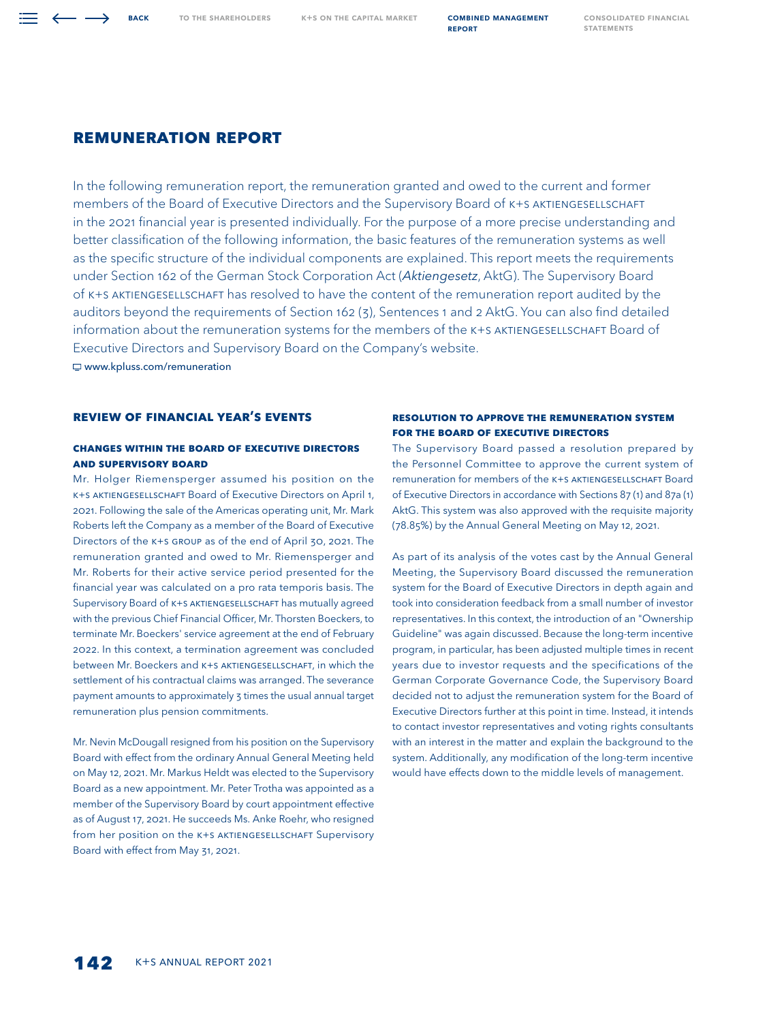# **REMUNERATION REPORT**

In the following remuneration report, the remuneration granted and owed to the current and former members of the Board of Executive Directors and the Supervisory Board of K+S AKTIENGESELLSCHAFT in the 2021 financial year is presented individually. For the purpose of a more precise understanding and better classification of the following information, the basic features of the remuneration systems as well as the specific structure of the individual components are explained. This report meets the requirements under Section 162 of the German Stock Corporation Act (Aktiengesetz, AktG). The Supervisory Board of K+S Aktiengesellschaft has resolved to have the content of the remuneration report audited by the auditors beyond the requirements of Section 162 (3), Sentences 1 and 2 AktG. You can also find detailed information about the remuneration systems for the members of the K+S AKTIENGESELLSCHAFT Board of Executive Directors and Supervisory Board on the Company's website.

[www.kpluss.com/remuneration](https://www.kpluss.com/en-us/about-ks/governance/remuneration) 

# **Review of FINANCIAL Year's Events**

# **Changes within the Board of Executive Directors and Supervisory Board**

Mr. Holger Riemensperger assumed his position on the K+S AKTIENGESELLSCHAFT Board of Executive Directors on April 1, 2021. Following the sale of the Americas operating unit, Mr. Mark Roberts left the Company as a member of the Board of Executive Directors of the K+S Group as of the end of April 30, 2021. The remuneration granted and owed to Mr. Riemensperger and Mr. Roberts for their active service period presented for the financial year was calculated on a pro rata temporis basis. The Supervisory Board of K+S AKTIENGESELLSCHAFT has mutually agreed with the previous Chief Financial Officer, Mr. Thorsten Boeckers, to terminate Mr. Boeckers' service agreement at the end of February 2022. In this context, a termination agreement was concluded between Mr. Boeckers and K+S AKTIENGESELLSCHAFT, in which the settlement of his contractual claims was arranged. The severance payment amounts to approximately 3 times the usual annual target remuneration plus pension commitments.

Mr. Nevin McDougall resigned from his position on the Supervisory Board with effect from the ordinary Annual General Meeting held on May 12, 2021. Mr. Markus Heldt was elected to the Supervisory Board as a new appointment. Mr. Peter Trotha was appointed as a member of the Supervisory Board by court appointment effective as of August 17, 2021. He succeeds Ms. Anke Roehr, who resigned from her position on the K+S AKTIENGESELLSCHAFT Supervisory Board with effect from May 31, 2021.

# **Resolution to Approve the Remuneration System for the Board of Executive Directors**

The Supervisory Board passed a resolution prepared by the Personnel Committee to approve the current system of remuneration for members of the K+S AKTIENGESELLSCHAFT Board of Executive Directors in accordance with Sections 87 (1) and 87a (1) AktG. This system was also approved with the requisite majority (78.85%) by the Annual General Meeting on May 12, 2021.

As part of its analysis of the votes cast by the Annual General Meeting, the Supervisory Board discussed the remuneration system for the Board of Executive Directors in depth again and took into consideration feedback from a small number of investor representatives. In this context, the introduction of an "Ownership Guideline" was again discussed. Because the long-term incentive program, in particular, has been adjusted multiple times in recent years due to investor requests and the specifications of the German Corporate Governance Code, the Supervisory Board decided not to adjust the remuneration system for the Board of Executive Directors further at this point in time. Instead, it intends to contact investor representatives and voting rights consultants with an interest in the matter and explain the background to the system. Additionally, any modification of the long-term incentive would have effects down to the middle levels of management.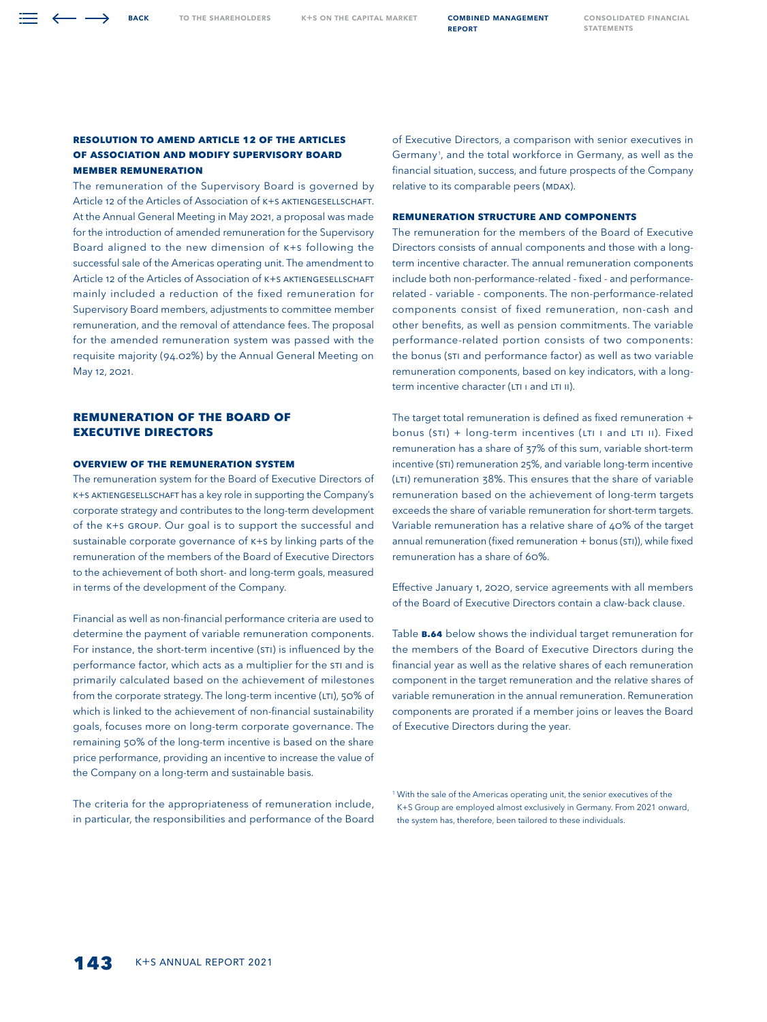## **Resolution to Amend Article 12 of the Articles of Association and Modify Supervisory Board Member Remuneration**

**BACK** 

The remuneration of the Supervisory Board is governed by Article 12 of the Articles of Association of K+S AKTIENGESELLSCHAFT. At the Annual General Meeting in May 2021, a proposal was made for the introduction of amended remuneration for the Supervisory Board aligned to the new dimension of K+S following the successful sale of the Americas operating unit. The amendment to Article 12 of the Articles of Association of K+S AKTIENGESELLSCHAFT mainly included a reduction of the fixed remuneration for Supervisory Board members, adjustments to committee member remuneration, and the removal of attendance fees. The proposal for the amended remuneration system was passed with the requisite majority (94.02%) by the Annual General Meeting on May 12, 2021.

# **Remuneration of the Board of Executive Directors**

## **Overview of the Remuneration System**

The remuneration system for the Board of Executive Directors of K+S Aktiengesellschaft has a key role in supporting the Company's corporate strategy and contributes to the long-term development of the K+S Group. Our goal is to support the successful and sustainable corporate governance of K+S by linking parts of the remuneration of the members of the Board of Executive Directors to the achievement of both short- and long-term goals, measured in terms of the development of the Company.

Financial as well as non-financial performance criteria are used to determine the payment of variable remuneration components. For instance, the short-term incentive (STI) is influenced by the performance factor, which acts as a multiplier for the STI and is primarily calculated based on the achievement of milestones from the corporate strategy. The long-term incentive (LTI), 50% of which is linked to the achievement of non-financial sustainability goals, focuses more on long-term corporate governance. The remaining 50% of the long-term incentive is based on the share price performance, providing an incentive to increase the value of the Company on a long-term and sustainable basis.

The criteria for the appropriateness of remuneration include, in particular, the responsibilities and performance of the Board

of Executive Directors, a comparison with senior executives in Germany1 , and the total workforce in Germany, as well as the financial situation, success, and future prospects of the Company relative to its comparable peers (MDAX).

# **REMUNERATION STRUCTURE and Components**

The remuneration for the members of the Board of Executive Directors consists of annual components and those with a longterm incentive character. The annual remuneration components include both non-performance-related - fixed - and performancerelated - variable - components. The non-performance-related components consist of fixed remuneration, non-cash and other benefits, as well as pension commitments. The variable performance-related portion consists of two components: the bonus (STI and performance factor) as well as two variable remuneration components, based on key indicators, with a longterm incentive character (LTI ı and LTI II).

The target total remuneration is defined as fixed remuneration + bonus (STI) + long-term incentives (LTI I and LTI II). Fixed remuneration has a share of 37% of this sum, variable short-term incentive (STI) remuneration 25%, and variable long-term incentive (LTI) remuneration 38%. This ensures that the share of variable remuneration based on the achievement of long-term targets exceeds the share of variable remuneration for short-term targets. Variable remuneration has a relative share of 40% of the target annual remuneration (fixed remuneration + bonus (STI)), while fixed remuneration has a share of 60%.

Effective January 1, 2020, service agreements with all members of the Board of Executive Directors contain a claw-back clause.

Table **B.64** below shows the individual target remuneration for the members of the Board of Executive Directors during the financial year as well as the relative shares of each remuneration component in the target remuneration and the relative shares of variable remuneration in the annual remuneration. Remuneration components are prorated if a member joins or leaves the Board of Executive Directors during the year.

<sup>1</sup> With the sale of the Americas operating unit, the senior executives of the K+S Group are employed almost exclusively in Germany. From 2021 onward, the system has, therefore, been tailored to these individuals.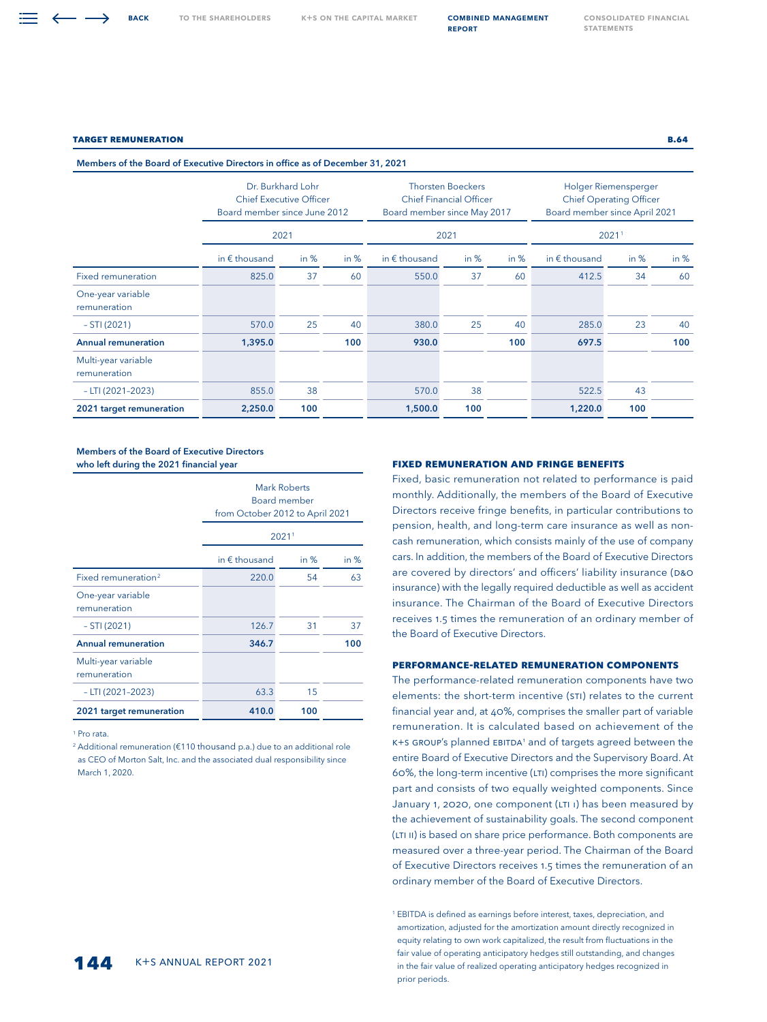#### **Target Remuneration B.64**

Members of the Board of Executive Directors in office as of December 31, 2021

|                                     | Dr. Burkhard Lohr<br><b>Chief Executive Officer</b><br>Board member since June 2012 | Board member since May 2017 | <b>Thorsten Boeckers</b><br><b>Chief Financial Officer</b> |                        | Holger Riemensperger<br><b>Chief Operating Officer</b><br>Board member since April 2021 |        |                        |        |        |  |
|-------------------------------------|-------------------------------------------------------------------------------------|-----------------------------|------------------------------------------------------------|------------------------|-----------------------------------------------------------------------------------------|--------|------------------------|--------|--------|--|
|                                     | 2021                                                                                |                             |                                                            |                        | 2021                                                                                    |        |                        | 20211  |        |  |
|                                     | in $\epsilon$ thousand                                                              | in $%$                      | in $%$                                                     | in $\epsilon$ thousand | in $%$                                                                                  | in $%$ | in $\epsilon$ thousand | in $%$ | in $%$ |  |
| <b>Fixed remuneration</b>           | 825.0                                                                               | 37                          | 60                                                         | 550.0                  | 37                                                                                      | 60     | 412.5                  | 34     | 60     |  |
| One-year variable<br>remuneration   |                                                                                     |                             |                                                            |                        |                                                                                         |        |                        |        |        |  |
| $-STI(2021)$                        | 570.0                                                                               | 25                          | 40                                                         | 380.0                  | 25                                                                                      | 40     | 285.0                  | 23     | 40     |  |
| <b>Annual remuneration</b>          | 1,395.0                                                                             |                             | 100                                                        | 930.0                  |                                                                                         | 100    | 697.5                  |        | 100    |  |
| Multi-year variable<br>remuneration |                                                                                     |                             |                                                            |                        |                                                                                         |        |                        |        |        |  |
| $-LTI$ (2021-2023)                  | 855.0                                                                               | 38                          |                                                            | 570.0                  | 38                                                                                      |        | 522.5                  | 43     |        |  |
| 2021 target remuneration            | 2,250.0                                                                             | 100                         |                                                            | 1,500.0                | 100                                                                                     |        | 1,220.0                | 100    |        |  |

#### Members of the Board of Executive Directors who left during the 2021 financial year

|                                     | Mark Roberts<br>Board member<br>from October 2012 to April 2021<br>20211 |        |        |
|-------------------------------------|--------------------------------------------------------------------------|--------|--------|
|                                     | in $\epsilon$ thousand                                                   | in $%$ | in $%$ |
| Fixed remuneration <sup>2</sup>     | 220.0                                                                    | 54     | 63     |
| One-year variable<br>remuneration   |                                                                          |        |        |
| $- STI (2021)$                      | 126.7                                                                    | 31     | 37     |
| <b>Annual remuneration</b>          | 346.7                                                                    |        | 100    |
| Multi-year variable<br>remuneration |                                                                          |        |        |
| $-$ LTI (2021-2023)                 | 63.3                                                                     | 15     |        |
| 2021 target remuneration            | 410.0                                                                    | 100    |        |

1 Pro rata.

<sup>2</sup> Additional remuneration (€110 thousand p.a.) due to an additional role as CEO of Morton Salt, Inc. and the associated dual responsibility since March 1, 2020.

#### **Fixed Remuneration and Fringe Benefits**

Fixed, basic remuneration not related to performance is paid monthly. Additionally, the members of the Board of Executive Directors receive fringe benefits, in particular contributions to pension, health, and long-term care insurance as well as noncash remuneration, which consists mainly of the use of company cars. In addition, the members of the Board of Executive Directors are covered by directors' and officers' liability insurance (D&O insurance) with the legally required deductible as well as accident insurance. The Chairman of the Board of Executive Directors receives 1.5 times the remuneration of an ordinary member of the Board of Executive Directors.

## **Performance-Related Remuneration Components**

The performance-related remuneration components have two elements: the short-term incentive (STI) relates to the current financial year and, at 40%, comprises the smaller part of variable remuneration. It is calculated based on achievement of the K+S GROUP's planned EBITDA<sup>1</sup> and of targets agreed between the entire Board of Executive Directors and the Supervisory Board. At 60%, the long-term incentive (LTI) comprises the more significant part and consists of two equally weighted components. Since January 1, 2020, one component (LTI ı) has been measured by the achievement of sustainability goals. The second component (LTI II) is based on share price performance. Both components are measured over a three-year period. The Chairman of the Board of Executive Directors receives 1.5 times the remuneration of an ordinary member of the Board of Executive Directors.

<sup>1</sup> EBITDA is defined as earnings before interest, taxes, depreciation, and amortization, adjusted for the amortization amount directly recognized in equity relating to own work capitalized, the result from fluctuations in the fair value of operating anticipatory hedges still outstanding, and changes in the fair value of realized operating anticipatory hedges recognized in prior periods.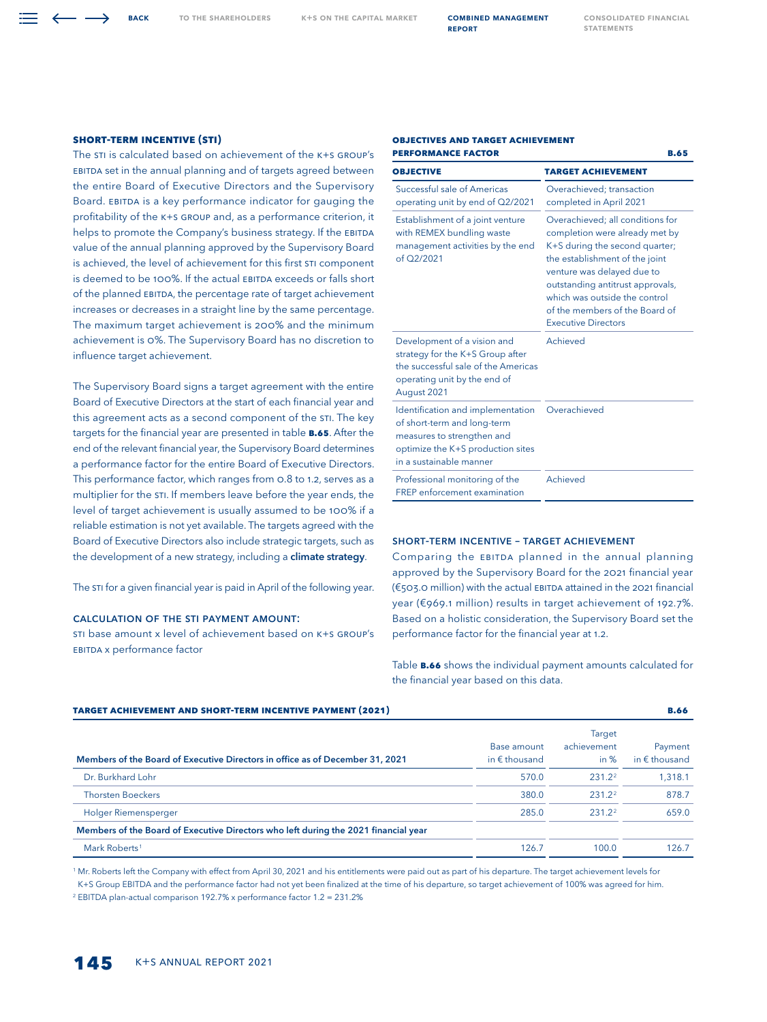**Objectives and Target Achievement**

## **Short-Term Incentive (STI)**

The STI is calculated based on achievement of the K+S GROUP's EBITDA set in the annual planning and of targets agreed between the entire Board of Executive Directors and the Supervisory Board. EBITDA is a key performance indicator for gauging the profitability of the K+S Group and, as a performance criterion, it helps to promote the Company's business strategy. If the EBITDA value of the annual planning approved by the Supervisory Board is achieved, the level of achievement for this first STI component is deemed to be 100%. If the actual EBITDA exceeds or falls short of the planned EBITDA, the percentage rate of target achievement increases or decreases in a straight line by the same percentage. The maximum target achievement is 200% and the minimum achievement is 0%. The Supervisory Board has no discretion to influence target achievement.

The Supervisory Board signs a target agreement with the entire Board of Executive Directors at the start of each financial year and this agreement acts as a second component of the STI. The key targets for the financial year are presented in table **B.65**. After the end of the relevant financial year, the Supervisory Board determines a performance factor for the entire Board of Executive Directors. This performance factor, which ranges from 0.8 to 1.2, serves as a multiplier for the STI. If members leave before the year ends, the level of target achievement is usually assumed to be 100% if a reliable estimation is not yet available. The targets agreed with the Board of Executive Directors also include strategic targets, such as the development of a new strategy, including a **climate strategy**.

The STI for a given financial year is paid in April of the following year.

## Calculation of the STI payment amount:

STI base amount x level of achievement based on K+S Group's EBITDA x performance factor

| <b>PERFORMANCE FACTOR</b>                                                                                                                                      | <b>B.65</b>                                                                                                                                                                                                                                                                                               |
|----------------------------------------------------------------------------------------------------------------------------------------------------------------|-----------------------------------------------------------------------------------------------------------------------------------------------------------------------------------------------------------------------------------------------------------------------------------------------------------|
| <b>OBJECTIVE</b>                                                                                                                                               | <b>TARGET ACHIEVEMENT</b>                                                                                                                                                                                                                                                                                 |
| Successful sale of Americas<br>operating unit by end of Q2/2021                                                                                                | Overachieved; transaction<br>completed in April 2021                                                                                                                                                                                                                                                      |
| Establishment of a joint venture<br>with REMEX bundling waste<br>management activities by the end<br>of Q2/2021                                                | Overachieved; all conditions for<br>completion were already met by<br>K+S during the second quarter;<br>the establishment of the joint<br>venture was delayed due to<br>outstanding antitrust approvals,<br>which was outside the control<br>of the members of the Board of<br><b>Executive Directors</b> |
| Development of a vision and<br>strategy for the K+S Group after<br>the successful sale of the Americas<br>operating unit by the end of<br>August 2021          | Achieved                                                                                                                                                                                                                                                                                                  |
| Identification and implementation<br>of short-term and long-term<br>measures to strengthen and<br>optimize the K+S production sites<br>in a sustainable manner | Overachieved                                                                                                                                                                                                                                                                                              |
| Professional monitoring of the<br><b>FREP</b> enforcement examination                                                                                          | Achieved                                                                                                                                                                                                                                                                                                  |

## Short-Term Incentive – Target Achievement

Comparing the EBITDA planned in the annual planning approved by the Supervisory Board for the 2021 financial year (€503.0 million) with the actual EBITDA attained in the 2021 financial year (€969.1 million) results in target achievement of 192.7%. Based on a holistic consideration, the Supervisory Board set the performance factor for the financial year at 1.2.

Table **B.66** shows the individual payment amounts calculated for the financial year based on this data.

| <b>TARGET ACHIEVEMENT AND SHORT-TERM INCENTIVE PAYMENT (2021)</b>                   |                                       |                                        | <b>B.66</b>                       |
|-------------------------------------------------------------------------------------|---------------------------------------|----------------------------------------|-----------------------------------|
| Members of the Board of Executive Directors in office as of December 31, 2021       | Base amount<br>in $\epsilon$ thousand | <b>Target</b><br>achievement<br>in $%$ | Payment<br>in $\epsilon$ thousand |
| Dr. Burkhard Lohr                                                                   | 570.0                                 | 231.22                                 | 1,318.1                           |
| <b>Thorsten Boeckers</b>                                                            | 380.0                                 | $231.2^2$                              | 878.7                             |
| Holger Riemensperger                                                                | 285.0                                 | 231.22                                 | 659.0                             |
| Members of the Board of Executive Directors who left during the 2021 financial year |                                       |                                        |                                   |
| Mark Roberts <sup>1</sup>                                                           | 126.7                                 | 100.0                                  | 126.7                             |

<sup>1</sup> Mr. Roberts left the Company with effect from April 30, 2021 and his entitlements were paid out as part of his departure. The target achievement levels for K+S Group EBITDA and the performance factor had not yet been finalized at the time of his departure, so target achievement of 100% was agreed for him.

2 EBITDA plan-actual comparison 192.7% x performance factor 1.2 = 231.2%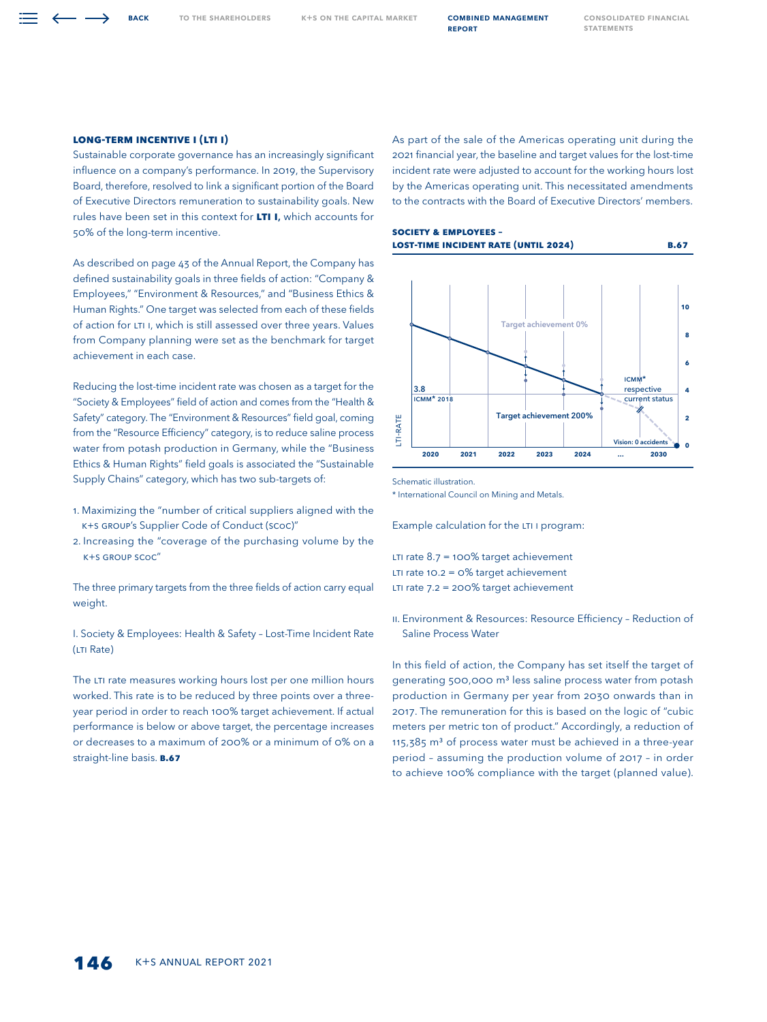TO THE SHAREHOLDERS K+S ON THE CAPITAL MARKET **COMBINED MANAGEMENT** 

report

# **Long-Term Incentive I (LTI I)**

Sustainable corporate governance has an increasingly significant influence on a company's performance. In 2019, the Supervisory Board, therefore, resolved to link a significant portion of the Board of Executive Directors remuneration to sustainability goals. New rules have been set in this context for **LTI I**, which accounts for 50% of the long-term incentive.

As described on page 43 of the Annual Report, the Company has defined sustainability goals in three fields of action: "Company & Employees," "Environment & Resources," and "Business Ethics & Human Rights." One target was selected from each of these fields of action for LTI I, which is still assessed over three years. Values from Company planning were set as the benchmark for target achievement in each case.

Reducing the lost-time incident rate was chosen as a target for the "Society & Employees" field of action and comes from the "Health & Safety" category. The "Environment & Resources" field goal, coming from the "Resource Efficiency" category, is to reduce saline process water from potash production in Germany, while the "Business Ethics & Human Rights" field goals is associated the "Sustainable Supply Chains" category, which has two sub-targets of:

- 1. Maximizing the "number of critical suppliers aligned with the K+S Group's Supplier Code of Conduct (SCoC)"
- 2. Increasing the "coverage of the purchasing volume by the K+S Group SCoC"

The three primary targets from the three fields of action carry equal weight.

I. Society & Employees: Health & Safety – Lost-Time Incident Rate (LTI Rate)

The LTI rate measures working hours lost per one million hours worked. This rate is to be reduced by three points over a threeyear period in order to reach 100% target achievement. If actual performance is below or above target, the percentage increases or decreases to a maximum of 200% or a minimum of 0% on a straight-line basis. **B.67**

As part of the sale of the Americas operating unit during the 2021 financial year, the baseline and target values for the lost-time incident rate were adjusted to account for the working hours lost by the Americas operating unit. This necessitated amendments to the contracts with the Board of Executive Directors' members.



Schematic illustration.

\* International Council on Mining and Metals.

Example calculation for the LTI I program:

LTI rate 8.7 = 100% target achievement LTI rate 10.2 = 0% target achievement LTI rate 7.2 = 200% target achievement

II. Environment & Resources: Resource Efficiency – Reduction of Saline Process Water

In this field of action, the Company has set itself the target of generating 500,000 m<sup>3</sup> less saline process water from potash production in Germany per year from 2030 onwards than in 2017. The remuneration for this is based on the logic of "cubic meters per metric ton of product." Accordingly, a reduction of 115,385  $m<sup>3</sup>$  of process water must be achieved in a three-year period – assuming the production volume of 2017 – in order to achieve 100% compliance with the target (planned value).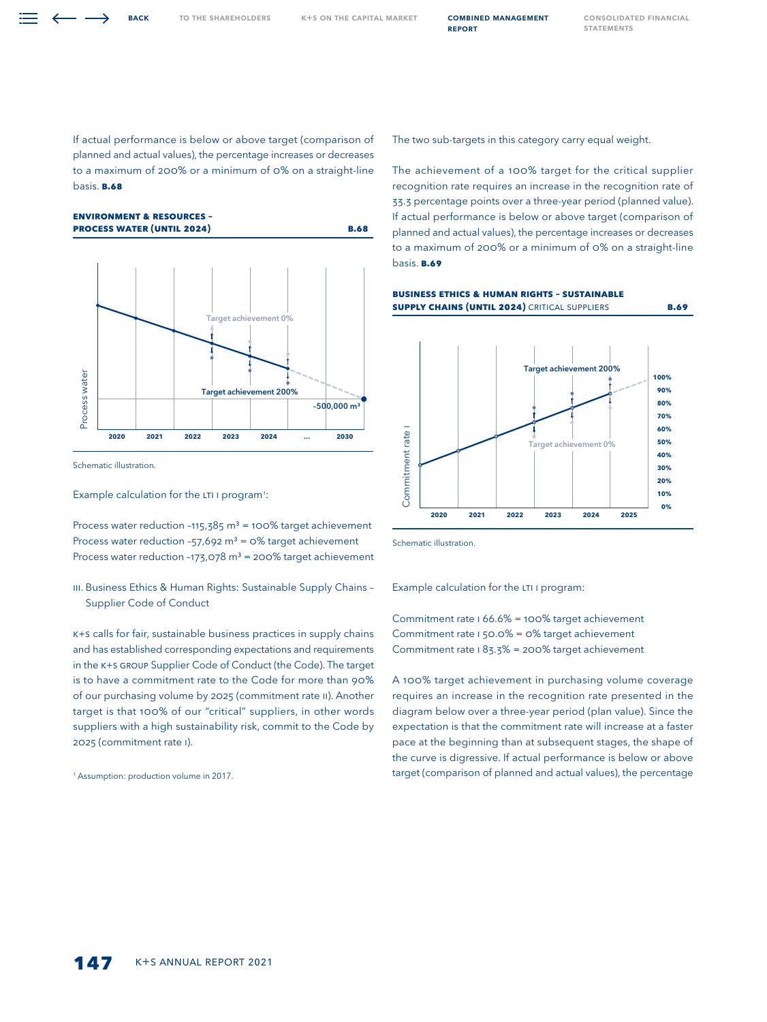If actual performance is below or above target (comparison of planned and actual values), the percentage increases or decreases to a maximum of 200% or a minimum of 0% on a straight-line basis. **B.68**

**Environment & Resources – Process Water (until 2024) B.68**



Schematic illustration.

Example calculation for the LTI I program<sup>1</sup>:

Process water reduction -115,385  $m<sup>3</sup>$  = 100% target achievement Process water reduction -57,692 m<sup>3</sup> = 0% target achievement Process water reduction -173,078 m<sup>3</sup> = 200% target achievement

III. Business Ethics & Human Rights: Sustainable Supply Chains – Supplier Code of Conduct

K+S calls for fair, sustainable business practices in supply chains and has established corresponding expectations and requirements in the K+S Group Supplier Code of Conduct (the Code). The target is to have a commitment rate to the Code for more than 90% of our purchasing volume by 2025 (commitment rate II). Another target is that 100% of our "critical" suppliers, in other words suppliers with a high sustainability risk, commit to the Code by 2025 (commitment rate I).

<sup>1</sup> Assumption: production volume in 2017.

The two sub-targets in this category carry equal weight.

**Business Ethics & Human Rights – Sustainable** 

The achievement of a 100% target for the critical supplier recognition rate requires an increase in the recognition rate of 33.3 percentage points over a three-year period (planned value). If actual performance is below or above target (comparison of planned and actual values), the percentage increases or decreases to a maximum of 200% or a minimum of 0% on a straight-line basis. **B.69**

**Supply Chains (until 2024)** Critical Suppliers **B.69**



Schematic illustration.

Example calculation for the LTI I program:

Commitment rate I 66.6% = 100% target achievement Commitment rate I 50.0% = 0% target achievement Commitment rate I 83.3% = 200% target achievement

A 100% target achievement in purchasing volume coverage requires an increase in the recognition rate presented in the diagram below over a three-year period (plan value). Since the expectation is that the commitment rate will increase at a faster pace at the beginning than at subsequent stages, the shape of the curve is digressive. If actual performance is below or above target (comparison of planned and actual values), the percentage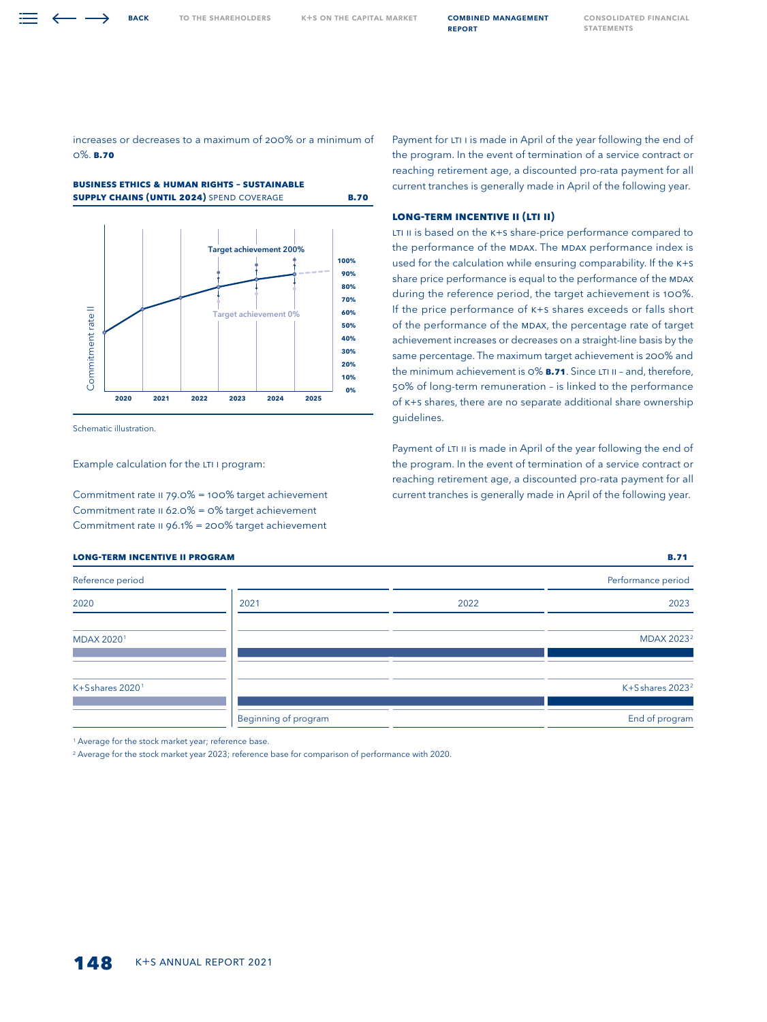## increases or decreases to a maximum of 200% or a minimum of 0%. **B.70**





Schematic illustration.

Example calculation for the LTI I program:

Commitment rate II 79.0% = 100% target achievement Commitment rate II 62.0% = 0% target achievement Commitment rate II 96.1% = 200% target achievement

Payment for LTI I is made in April of the year following the end of the program. In the event of termination of a service contract or reaching retirement age, a discounted pro-rata payment for all current tranches is generally made in April of the following year.

## **Long-Term Incentive II (LTI II)**

LTI II is based on the K+S share-price performance compared to the performance of the MDAX. The MDAX performance index is used for the calculation while ensuring comparability. If the K+S share price performance is equal to the performance of the MDAX during the reference period, the target achievement is 100%. If the price performance of K+S shares exceeds or falls short of the performance of the MDAX, the percentage rate of target achievement increases or decreases on a straight-line basis by the same percentage. The maximum target achievement is 200% and the minimum achievement is 0% **B.71**. Since LTI II – and, therefore, 50% of long-term remuneration – is linked to the performance of K+S shares, there are no separate additional share ownership guidelines.

Payment of LTI II is made in April of the year following the end of the program. In the event of termination of a service contract or reaching retirement age, a discounted pro-rata payment for all current tranches is generally made in April of the following year.

| Reference period |                      |      | Performance period          |
|------------------|----------------------|------|-----------------------------|
| 2020             | 2021                 | 2022 | 2023                        |
| MDAX 20201       |                      |      | MDAX 2023 <sup>2</sup>      |
| K+Sshares 20201  |                      |      | K+Sshares 2023 <sup>2</sup> |
|                  | Beginning of program |      | End of program              |

**long-term incentive II PROGRAM B.71**

<sup>1</sup> Average for the stock market year; reference base.

<sup>2</sup> Average for the stock market year 2023; reference base for comparison of performance with 2020.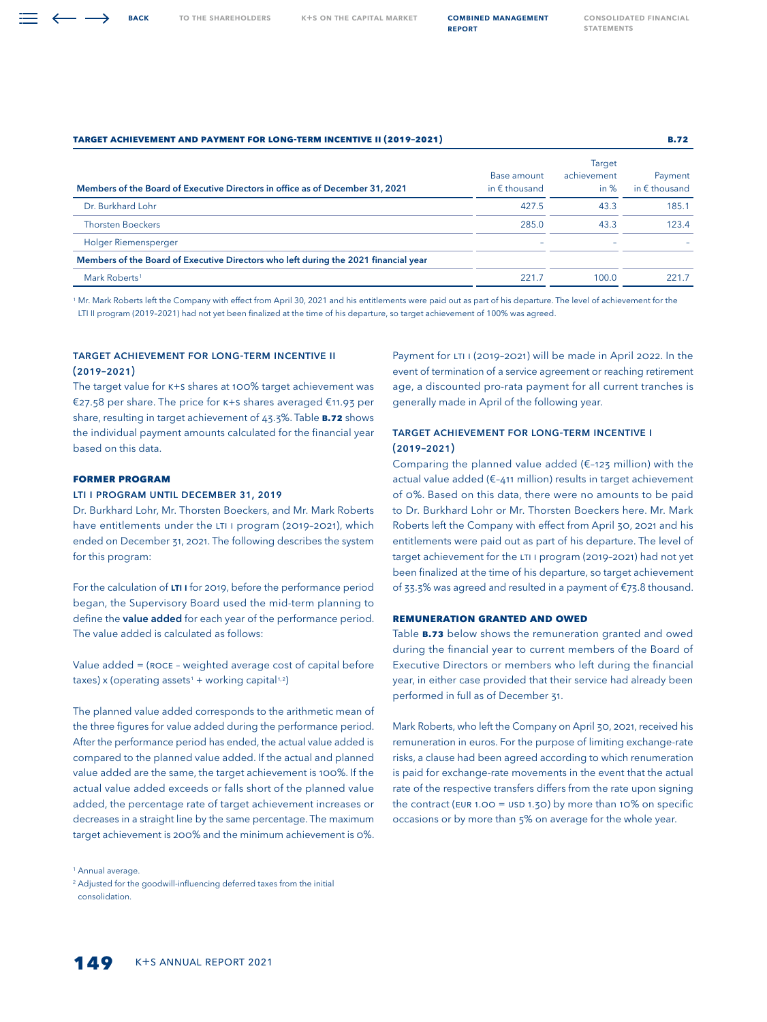| <b>TARGET ACHIEVEMENT AND PAYMENT FOR LONG-TERM INCENTIVE II (2019-2021)</b>        |                                       |                                        | <b>B.72</b>                       |  |
|-------------------------------------------------------------------------------------|---------------------------------------|----------------------------------------|-----------------------------------|--|
| Members of the Board of Executive Directors in office as of December 31, 2021       | Base amount<br>in $\epsilon$ thousand | <b>Target</b><br>achievement<br>in $%$ | Payment<br>in $\epsilon$ thousand |  |
| Dr. Burkhard Lohr                                                                   | 427.5                                 | 43.3                                   | 185.1                             |  |
| <b>Thorsten Boeckers</b>                                                            | 285.0                                 | 43.3                                   | 123.4                             |  |
| Holger Riemensperger                                                                | -                                     |                                        |                                   |  |
| Members of the Board of Executive Directors who left during the 2021 financial year |                                       |                                        |                                   |  |
| Mark Roberts <sup>1</sup>                                                           | 221.7                                 | 100.0                                  | 221.7                             |  |

<sup>1</sup> Mr. Mark Roberts left the Company with effect from April 30, 2021 and his entitlements were paid out as part of his departure. The level of achievement for the LTI II program (2019–2021) had not yet been finalized at the time of his departure, so target achievement of 100% was agreed.

# Target Achievement for Long-Term Incentive II (2019–2021)

The target value for K+S shares at 100% target achievement was €27.58 per share. The price for K+S shares averaged €11.93 per share, resulting in target achievement of 43.3%. Table **B.72** shows the individual payment amounts calculated for the financial year based on this data.

## **Former Program**

## LTI I program until December 31, 2019

Dr. Burkhard Lohr, Mr. Thorsten Boeckers, and Mr. Mark Roberts have entitlements under the LTI I program (2019–2021), which ended on December 31, 2021. The following describes the system for this program:

For the calculation of LTI I for 2019, before the performance period began, the Supervisory Board used the mid-term planning to define the value added for each year of the performance period. The value added is calculated as follows:

Value added = (ROCE – weighted average cost of capital before  $taxes$ ) x (operating assets<sup>1</sup> + working capital<sup>1,2</sup>)

The planned value added corresponds to the arithmetic mean of the three figures for value added during the performance period. After the performance period has ended, the actual value added is compared to the planned value added. If the actual and planned value added are the same, the target achievement is 100%. If the actual value added exceeds or falls short of the planned value added, the percentage rate of target achievement increases or decreases in a straight line by the same percentage. The maximum target achievement is 200% and the minimum achievement is 0%.

<sup>1</sup> Annual average.

Payment for LTI I (2019-2021) will be made in April 2022. In the event of termination of a service agreement or reaching retirement age, a discounted pro-rata payment for all current tranches is generally made in April of the following year.

# Target Achievement for Long-Term Incentive I  $(2019 - 2021)$

Comparing the planned value added (€–123 million) with the actual value added (€–411 million) results in target achievement of 0%. Based on this data, there were no amounts to be paid to Dr. Burkhard Lohr or Mr. Thorsten Boeckers here. Mr. Mark Roberts left the Company with effect from April 30, 2021 and his entitlements were paid out as part of his departure. The level of target achievement for the LTI I program (2019–2021) had not yet been finalized at the time of his departure, so target achievement of 33.3% was agreed and resulted in a payment of €73.8 thousand.

## **Remuneration Granted and Owed**

Table **B.73** below shows the remuneration granted and owed during the financial year to current members of the Board of Executive Directors or members who left during the financial year, in either case provided that their service had already been performed in full as of December 31.

Mark Roberts, who left the Company on April 30, 2021, received his remuneration in euros. For the purpose of limiting exchange-rate risks, a clause had been agreed according to which renumeration is paid for exchange-rate movements in the event that the actual rate of the respective transfers differs from the rate upon signing the contract (EUR 1.00 = USD 1.30) by more than 10% on specific occasions or by more than 5% on average for the whole year.

<sup>&</sup>lt;sup>2</sup> Adjusted for the goodwill-influencing deferred taxes from the initial consolidation.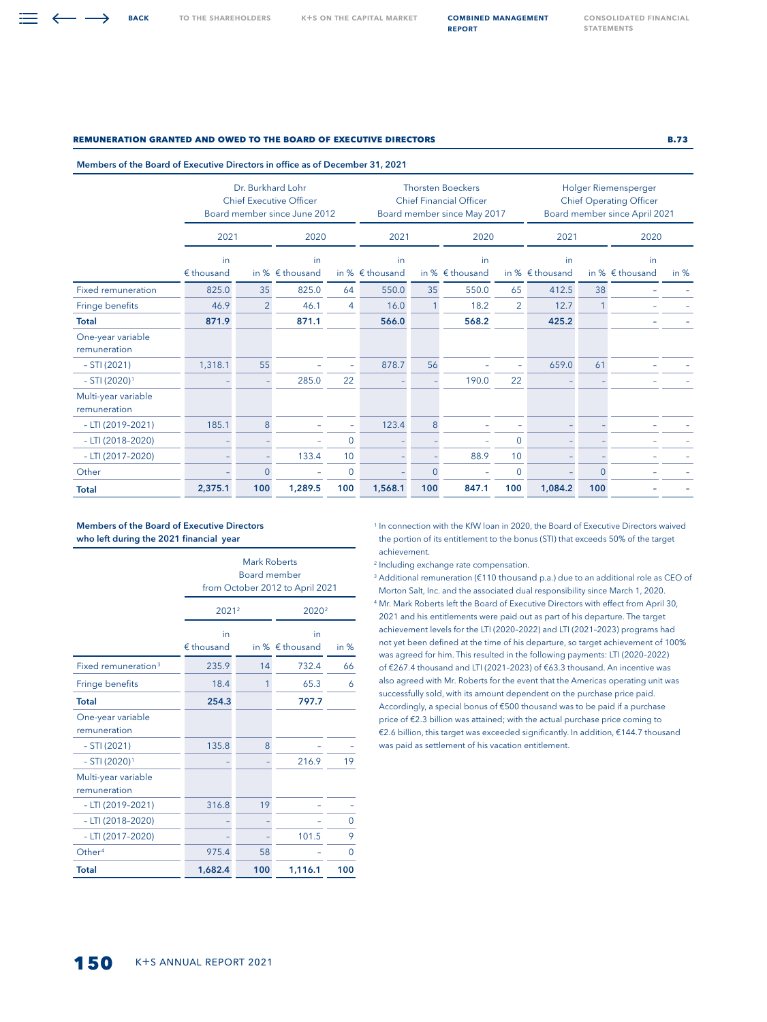→

TO THE SHAREHOLDERS K+S ON THE CAPITAL MARKET **COMBINED MANAGEMENT** 

report

[Consolidated Financial](#page--1-0)  **STATEMENTS** 

## **Remuneration Granted and Owed to the Board of Executive Directors B.73**

#### Members of the Board of Executive Directors in office as of December 31, 2021

|                                     | Dr. Burkhard Lohr<br><b>Chief Executive Officer</b><br>Board member since June 2012 |                |                                |                 |                                |              | <b>Thorsten Boeckers</b><br><b>Chief Financial Officer</b><br>Board member since May 2017 |              | Holger Riemensperger<br><b>Chief Operating Officer</b><br>Board member since April 2021 |          |                                |        |
|-------------------------------------|-------------------------------------------------------------------------------------|----------------|--------------------------------|-----------------|--------------------------------|--------------|-------------------------------------------------------------------------------------------|--------------|-----------------------------------------------------------------------------------------|----------|--------------------------------|--------|
|                                     | 2021                                                                                |                | 2020                           |                 | 2021                           |              | 2020                                                                                      |              | 2021                                                                                    |          | 2020                           |        |
|                                     | in<br>€ thousand                                                                    |                | in<br>in % $\epsilon$ thousand |                 | in<br>in % $\epsilon$ thousand |              | in<br>in % $\epsilon$ thousand                                                            |              | in<br>in % $\epsilon$ thousand                                                          |          | in<br>in % $\epsilon$ thousand | in $%$ |
| <b>Fixed remuneration</b>           | 825.0                                                                               | 35             | 825.0                          | 64              | 550.0                          | 35           | 550.0                                                                                     | 65           | 412.5                                                                                   | 38       |                                |        |
| Fringe benefits                     | 46.9                                                                                | $\overline{2}$ | 46.1                           | $\overline{4}$  | 16.0                           | $\mathbf{1}$ | 18.2                                                                                      | 2            | 12.7                                                                                    |          |                                |        |
| <b>Total</b>                        | 871.9                                                                               |                | 871.1                          |                 | 566.0                          |              | 568.2                                                                                     |              | 425.2                                                                                   |          |                                |        |
| One-year variable<br>remuneration   |                                                                                     |                |                                |                 |                                |              |                                                                                           |              |                                                                                         |          |                                |        |
| $-STI(2021)$                        | 1,318.1                                                                             | 55             |                                |                 | 878.7                          | 56           |                                                                                           |              | 659.0                                                                                   | 61       |                                |        |
| $-$ STI (2020) <sup>1</sup>         |                                                                                     |                | 285.0                          | 22              |                                |              | 190.0                                                                                     | 22           |                                                                                         |          |                                |        |
| Multi-year variable<br>remuneration |                                                                                     |                |                                |                 |                                |              |                                                                                           |              |                                                                                         |          |                                |        |
| $-LTI$ (2019-2021)                  | 185.1                                                                               | 8              |                                |                 | 123.4                          | 8            |                                                                                           |              |                                                                                         |          |                                |        |
| $-$ LTI (2018-2020)                 |                                                                                     |                |                                | $\Omega$        |                                |              |                                                                                           | $\mathbf{0}$ |                                                                                         |          |                                |        |
| $-$ LTI (2017-2020)                 |                                                                                     |                | 133.4                          | 10 <sup>°</sup> |                                |              | 88.9                                                                                      | 10           |                                                                                         |          |                                |        |
| Other                               |                                                                                     | $\Omega$       |                                | $\overline{0}$  |                                | $\Omega$     |                                                                                           | $\mathbf{0}$ |                                                                                         | $\Omega$ |                                |        |
| <b>Total</b>                        | 2,375.1                                                                             | 100            | 1,289.5                        | 100             | 1,568.1                        | 100          | 847.1                                                                                     | 100          | 1,084.2                                                                                 | 100      |                                |        |

## Members of the Board of Executive Directors who left during the 2021 financial year

|                                     | <b>Mark Roberts</b><br><b>Board member</b><br>from October 2012 to April 2021 |              |                                |        |  |  |  |  |  |  |  |
|-------------------------------------|-------------------------------------------------------------------------------|--------------|--------------------------------|--------|--|--|--|--|--|--|--|
|                                     | 2021 <sup>2</sup><br>2020 <sup>2</sup>                                        |              |                                |        |  |  |  |  |  |  |  |
|                                     | in<br>$E$ thousand                                                            |              | in<br>in % $\epsilon$ thousand | in $%$ |  |  |  |  |  |  |  |
| Fixed remuneration <sup>3</sup>     | 235.9                                                                         | 14           | 732.4                          | 66     |  |  |  |  |  |  |  |
| Fringe benefits                     | 18.4                                                                          | $\mathbf{1}$ | 65.3                           | 6      |  |  |  |  |  |  |  |
| <b>Total</b>                        | 254.3                                                                         |              | 797.7                          |        |  |  |  |  |  |  |  |
| One-year variable<br>remuneration   |                                                                               |              |                                |        |  |  |  |  |  |  |  |
| $- STI (2021)$                      | 135.8                                                                         | 8            |                                |        |  |  |  |  |  |  |  |
| $- STI (2020)^1$                    |                                                                               |              | 216.9                          | 19     |  |  |  |  |  |  |  |
| Multi-year variable<br>remuneration |                                                                               |              |                                |        |  |  |  |  |  |  |  |
| $-LTI (2019-2021)$                  | 316.8                                                                         | 19           |                                |        |  |  |  |  |  |  |  |
| $-$ LTI (2018-2020)                 |                                                                               |              |                                | 0      |  |  |  |  |  |  |  |
| $-$ LTI (2017-2020)                 |                                                                               |              | 101.5                          | 9      |  |  |  |  |  |  |  |
| Other <sup>4</sup>                  | 975.4                                                                         | 58           |                                | 0      |  |  |  |  |  |  |  |
| <b>Total</b>                        | 1,682.4                                                                       | 100          | 1,116.1                        | 100    |  |  |  |  |  |  |  |

<sup>1</sup> In connection with the KfW loan in 2020, the Board of Executive Directors waived the portion of its entitlement to the bonus (STI) that exceeds 50% of the target achievement.

<sup>2</sup> Including exchange rate compensation.

<sup>3</sup> Additional remuneration (€110 thousand p.a.) due to an additional role as CEO of Morton Salt, Inc. and the associated dual responsibility since March 1, 2020.

<sup>4</sup> Mr. Mark Roberts left the Board of Executive Directors with effect from April 30, 2021 and his entitlements were paid out as part of his departure. The target achievement levels for the LTI (2020–2022) and LTI (2021–2023) programs had not yet been defined at the time of his departure, so target achievement of 100% was agreed for him. This resulted in the following payments: LTI (2020–2022) of €267.4 thousand and LTI (2021–2023) of €63.3 thousand. An incentive was also agreed with Mr. Roberts for the event that the Americas operating unit was successfully sold, with its amount dependent on the purchase price paid. Accordingly, a special bonus of €500 thousand was to be paid if a purchase price of €2.3 billion was attained; with the actual purchase price coming to €2.6 billion, this target was exceeded significantly. In addition, €144.7 thousand was paid as settlement of his vacation entitlement.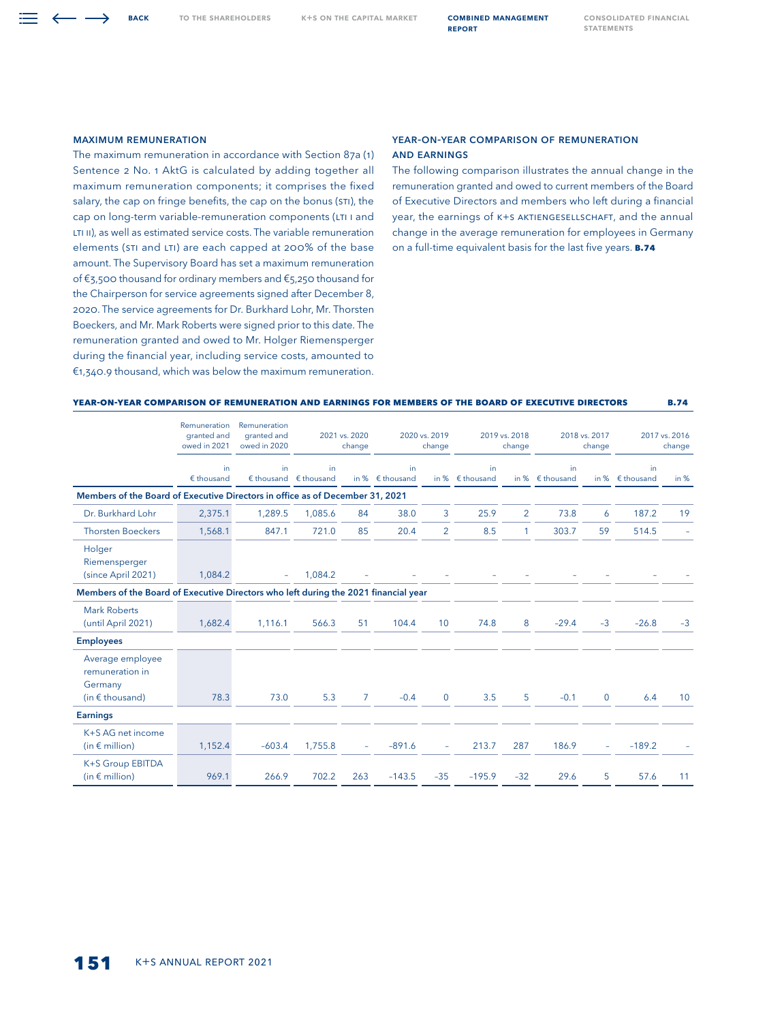TO THE SHAREHOLDERS K+S ON THE CAPITAL MARKET **COMBINED MANAGEMENT** 

#### Maximum Remuneration

The maximum remuneration in accordance with Section 87a (1) Sentence 2 No. 1 AktG is calculated by adding together all maximum remuneration components; it comprises the fixed salary, the cap on fringe benefits, the cap on the bonus (STI), the cap on long-term variable-remuneration components (LTI I and LTI II), as well as estimated service costs. The variable remuneration elements (STI and LTI) are each capped at 200% of the base amount. The Supervisory Board has set a maximum remuneration of €3,500 thousand for ordinary members and €5,250 thousand for the Chairperson for service agreements signed after December 8, 2020. The service agreements for Dr. Burkhard Lohr, Mr. Thorsten Boeckers, and Mr. Mark Roberts were signed prior to this date. The remuneration granted and owed to Mr. Holger Riemensperger during the financial year, including service costs, amounted to €1,340.9 thousand, which was below the maximum remuneration.

## Year-on-Year Comparison of Remuneration and Earnings

The following comparison illustrates the annual change in the remuneration granted and owed to current members of the Board of Executive Directors and members who left during a financial year, the earnings of K+S AKTIENGESELLSCHAFT, and the annual change in the average remuneration for employees in Germany on a full-time equivalent basis for the last five years. **B.74**

## **Year-on-Year Comparison of Remuneration and Earnings for Members of the Board of Executive Directors B.74**

|                                                                                     | Remuneration<br>granted and<br>owed in 2021 | Remuneration<br>granted and<br>owed in 2020 | 2021 vs. 2020<br>change                    |                | 2020 vs. 2019<br>change |                | 2019 vs. 2018<br>change |                | 2018 vs. 2017<br>change        |              | 2017 vs. 2016<br>change         |        |
|-------------------------------------------------------------------------------------|---------------------------------------------|---------------------------------------------|--------------------------------------------|----------------|-------------------------|----------------|-------------------------|----------------|--------------------------------|--------------|---------------------------------|--------|
|                                                                                     | in<br>$E$ thousand                          | in.                                         | in.<br>$\notin$ thousand $\notin$ thousand | in %           | in<br>$\n  fhousand\n$  | in %           | in.<br>$£$ thousand     |                | in<br>in % $\epsilon$ thousand |              | in.<br>in % $\epsilon$ thousand | in $%$ |
| Members of the Board of Executive Directors in office as of December 31, 2021       |                                             |                                             |                                            |                |                         |                |                         |                |                                |              |                                 |        |
| Dr. Burkhard Lohr                                                                   | 2,375.1                                     | 1,289.5                                     | 1,085.6                                    | 84             | 38.0                    | 3              | 25.9                    | $\overline{2}$ | 73.8                           | 6            | 187.2                           | 19     |
| <b>Thorsten Boeckers</b>                                                            | 1,568.1                                     | 847.1                                       | 721.0                                      | 85             | 20.4                    | $\overline{2}$ | 8.5                     | 1              | 303.7                          | 59           | 514.5                           |        |
| Holger<br>Riemensperger<br>(since April 2021)                                       | 1,084.2                                     |                                             | 1.084.2                                    |                |                         |                |                         |                |                                |              |                                 |        |
| Members of the Board of Executive Directors who left during the 2021 financial year |                                             |                                             |                                            |                |                         |                |                         |                |                                |              |                                 |        |
| <b>Mark Roberts</b><br>(until April 2021)                                           | 1,682.4                                     | 1.116.1                                     | 566.3                                      | 51             | 104.4                   | 10             | 74.8                    | 8              | $-29.4$                        | $-3$         | $-26.8$                         | $-3$   |
| <b>Employees</b>                                                                    |                                             |                                             |                                            |                |                         |                |                         |                |                                |              |                                 |        |
| Average employee<br>remuneration in<br>Germany<br>(in $\epsilon$ thousand)          | 78.3                                        | 73.0                                        | 5.3                                        | $\overline{7}$ | $-0.4$                  | $\mathbf{0}$   | 3.5                     | 5              | $-0.1$                         | $\mathbf{0}$ | 6.4                             | 10     |
| <b>Earnings</b>                                                                     |                                             |                                             |                                            |                |                         |                |                         |                |                                |              |                                 |        |
| K+S AG net income<br>(in $\epsilon$ million)                                        | 1,152.4                                     | $-603.4$                                    | 1,755.8                                    |                | $-891.6$                |                | 213.7                   | 287            | 186.9                          | ÷.           | $-189.2$                        |        |
| K+S Group EBITDA<br>(in $\epsilon$ million)                                         | 969.1                                       | 266.9                                       | 702.2                                      | 263            | $-143.5$                | $-35$          | $-195.9$                | $-32$          | 29.6                           | 5            | 57.6                            | 11     |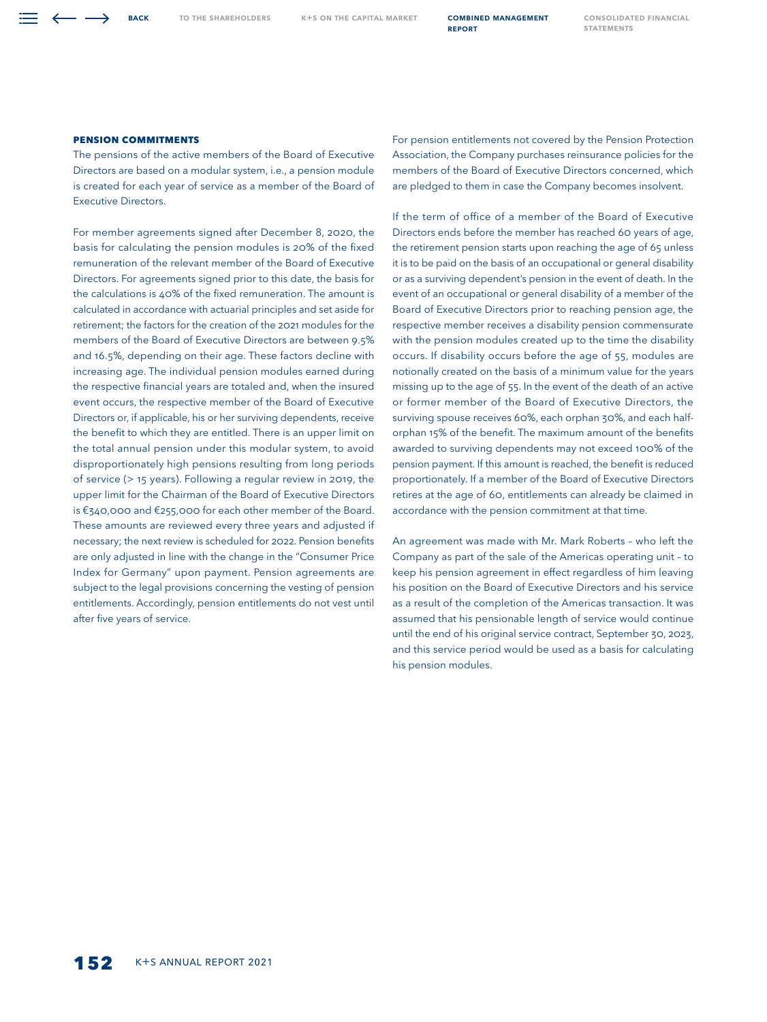TO THE SHAREHOLDERS K+S ON THE CAPITAL MARKET **COMBINED MANAGEMENT** 

report

[Consolidated Financial](#page--1-0)  **STATEMENTS** 

## **Pension Commitments**

The pensions of the active members of the Board of Executive Directors are based on a modular system, i.e., a pension module is created for each year of service as a member of the Board of Executive Directors.

For member agreements signed after December 8, 2020, the basis for calculating the pension modules is 20% of the fixed remuneration of the relevant member of the Board of Executive Directors. For agreements signed prior to this date, the basis for the calculations is 40% of the fixed remuneration. The amount is calculated in accordance with actuarial principles and set aside for retirement; the factors for the creation of the 2021 modules for the members of the Board of Executive Directors are between 9.5% and 16.5%, depending on their age. These factors decline with increasing age. The individual pension modules earned during the respective financial years are totaled and, when the insured event occurs, the respective member of the Board of Executive Directors or, if applicable, his or her surviving dependents, receive the benefit to which they are entitled. There is an upper limit on the total annual pension under this modular system, to avoid disproportionately high pensions resulting from long periods of service (> 15 years). Following a regular review in 2019, the upper limit for the Chairman of the Board of Executive Directors is €340,000 and €255,000 for each other member of the Board. These amounts are reviewed every three years and adjusted if necessary; the next review is scheduled for 2022. Pension benefits are only adjusted in line with the change in the "Consumer Price Index for Germany" upon payment. Pension agreements are subject to the legal provisions concerning the vesting of pension entitlements. Accordingly, pension entitlements do not vest until after five years of service.

For pension entitlements not covered by the Pension Protection Association, the Company purchases reinsurance policies for the members of the Board of Executive Directors concerned, which are pledged to them in case the Company becomes insolvent.

If the term of office of a member of the Board of Executive Directors ends before the member has reached 60 years of age, the retirement pension starts upon reaching the age of 65 unless it is to be paid on the basis of an occupational or general disability or as a surviving dependent's pension in the event of death. In the event of an occupational or general disability of a member of the Board of Executive Directors prior to reaching pension age, the respective member receives a disability pension commensurate with the pension modules created up to the time the disability occurs. If disability occurs before the age of 55, modules are notionally created on the basis of a minimum value for the years missing up to the age of 55. In the event of the death of an active or former member of the Board of Executive Directors, the surviving spouse receives 60%, each orphan 30%, and each halforphan 15% of the benefit. The maximum amount of the benefits awarded to surviving dependents may not exceed 100% of the pension payment. If this amount is reached, the benefit is reduced proportionately. If a member of the Board of Executive Directors retires at the age of 60, entitlements can already be claimed in accordance with the pension commitment at that time.

An agreement was made with Mr. Mark Roberts – who left the Company as part of the sale of the Americas operating unit – to keep his pension agreement in effect regardless of him leaving his position on the Board of Executive Directors and his service as a result of the completion of the Americas transaction. It was assumed that his pensionable length of service would continue until the end of his original service contract, September 30, 2023, and this service period would be used as a basis for calculating his pension modules.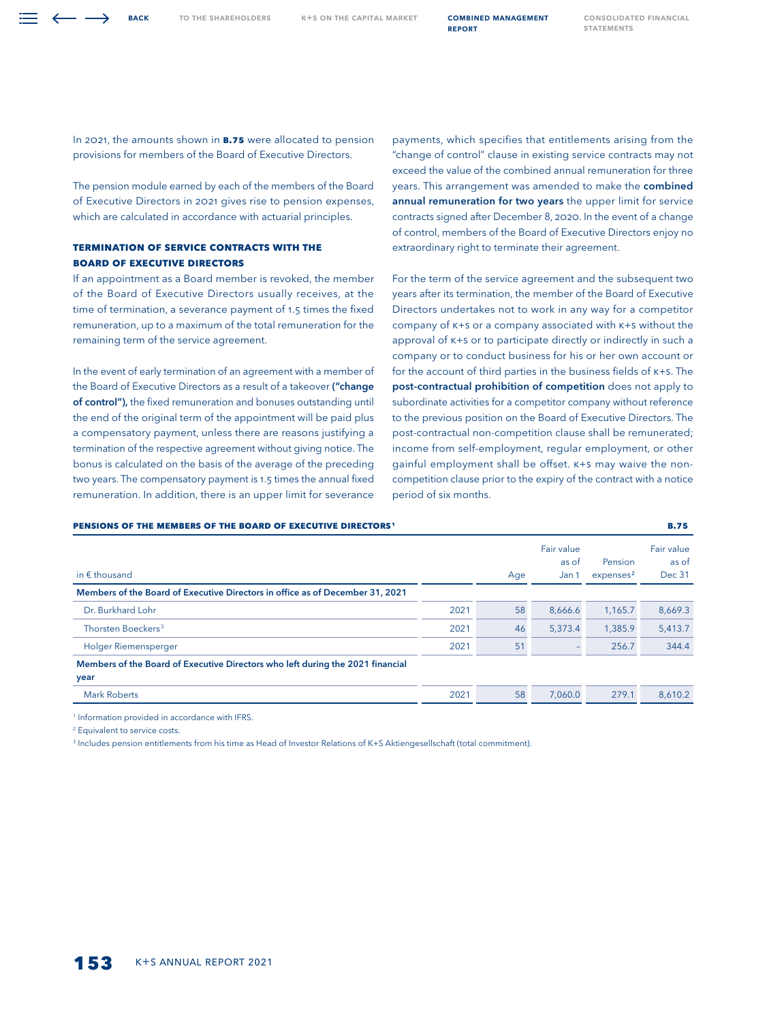In 2021, the amounts shown in **B.75** were allocated to pension provisions for members of the Board of Executive Directors.

The pension module earned by each of the members of the Board of Executive Directors in 2021 gives rise to pension expenses, which are calculated in accordance with actuarial principles.

# **TERMINATION OF SERVICE CONTRACTS WITH THE BOARD OF EXECUTIVE DIRECTORS**

If an appointment as a Board member is revoked, the member of the Board of Executive Directors usually receives, at the time of termination, a severance payment of 1.5 times the fixed remuneration, up to a maximum of the total remuneration for the remaining term of the service agreement.

In the event of early termination of an agreement with a member of the Board of Executive Directors as a result of a takeover ("change of control"), the fixed remuneration and bonuses outstanding until the end of the original term of the appointment will be paid plus a compensatory payment, unless there are reasons justifying a termination of the respective agreement without giving notice. The bonus is calculated on the basis of the average of the preceding two years. The compensatory payment is 1.5 times the annual fixed remuneration. In addition, there is an upper limit for severance

payments, which specifies that entitlements arising from the "change of control" clause in existing service contracts may not exceed the value of the combined annual remuneration for three years. This arrangement was amended to make the combined annual remuneration for two years the upper limit for service contracts signed after December 8, 2020. In the event of a change of control, members of the Board of Executive Directors enjoy no extraordinary right to terminate their agreement.

For the term of the service agreement and the subsequent two years after its termination, the member of the Board of Executive Directors undertakes not to work in any way for a competitor company of K+S or a company associated with K+S without the approval of K+S or to participate directly or indirectly in such a company or to conduct business for his or her own account or for the account of third parties in the business fields of K+S. The post-contractual prohibition of competition does not apply to subordinate activities for a competitor company without reference to the previous position on the Board of Executive Directors. The post-contractual non-competition clause shall be remunerated; income from self-employment, regular employment, or other gainful employment shall be offset. K+S may waive the noncompetition clause prior to the expiry of the contract with a notice period of six months.

| in $\epsilon$ thousand                                                         |      | Age | Fair value<br>as of<br>Jan 1 | Pension<br>expenses <sup>2</sup> | Fair value<br>as of<br>Dec 31 |
|--------------------------------------------------------------------------------|------|-----|------------------------------|----------------------------------|-------------------------------|
| Members of the Board of Executive Directors in office as of December 31, 2021  |      |     |                              |                                  |                               |
| Dr. Burkhard Lohr                                                              | 2021 | 58  | 8,666.6                      | 1,165.7                          | 8,669.3                       |
| Thorsten Boeckers <sup>3</sup>                                                 | 2021 | 46  | 5.373.4                      | 1.385.9                          | 5,413.7                       |
| Holger Riemensperger                                                           | 2021 | 51  |                              | 256.7                            | 344.4                         |
| Members of the Board of Executive Directors who left during the 2021 financial |      |     |                              |                                  |                               |
| year                                                                           |      |     |                              |                                  |                               |
| <b>Mark Roberts</b>                                                            | 2021 | 58  | 7.060.0                      | 279.1                            | 8,610.2                       |

**Pensions of the Members of the Board of Executive Directors1 B.75**

<sup>1</sup> Information provided in accordance with IFRS.

<sup>2</sup> Equivalent to service costs.

3 Includes pension entitlements from his time as Head of Investor Relations of K+S Aktiengesellschaft (total commitment).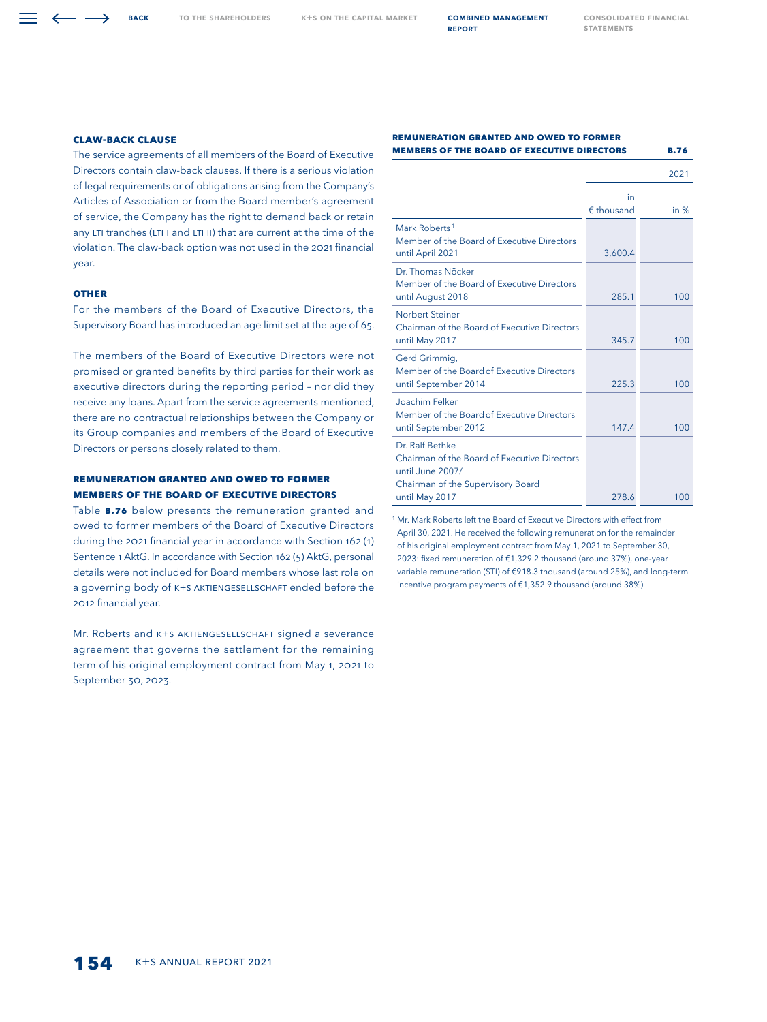## **Claw-Back Clause**

The service agreements of all members of the Board of Executive Directors contain claw-back clauses. If there is a serious violation of legal requirements or of obligations arising from the Company's Articles of Association or from the Board member's agreement of service, the Company has the right to demand back or retain any LTI tranches (LTI I and LTI II) that are current at the time of the violation. The claw-back option was not used in the 2021 financial year.

#### **OTHER**

For the members of the Board of Executive Directors, the Supervisory Board has introduced an age limit set at the age of 65.

The members of the Board of Executive Directors were not promised or granted benefits by third parties for their work as executive directors during the reporting period – nor did they receive any loans. Apart from the service agreements mentioned, there are no contractual relationships between the Company or its Group companies and members of the Board of Executive Directors or persons closely related to them.

# **Remuneration Granted and Owed to Former Members of the Board of Executive Directors**

Table **B.76** below presents the remuneration granted and owed to former members of the Board of Executive Directors during the 2021 financial year in accordance with Section 162 (1) Sentence 1 AktG. In accordance with Section 162 (5) AktG, personal details were not included for Board members whose last role on a governing body of K+S AKTIENGESELLSCHAFT ended before the 2012 financial year.

Mr. Roberts and K+S AKTIENGESELLSCHAFT signed a severance agreement that governs the settlement for the remaining term of his original employment contract from May 1, 2021 to September 30, 2023.

#### **Remuneration Granted and Owed to Former Members of the Board of Executive Directors B.76**

|                                                                                             |                           | 2021   |
|---------------------------------------------------------------------------------------------|---------------------------|--------|
|                                                                                             | in<br>$\epsilon$ thousand | in $%$ |
| Mark Roberts <sup>1</sup><br>Member of the Board of Executive Directors<br>until April 2021 | 3,600.4                   |        |
| Dr. Thomas Nöcker<br>Member of the Board of Executive Directors<br>until August 2018        | 285.1                     | 100    |
| Norbert Steiner<br>Chairman of the Board of Executive Directors<br>until May 2017           | 345.7                     | 100    |
| Gerd Grimmig,<br>Member of the Board of Executive Directors<br>until September 2014         | 225.3                     | 100    |
| Joachim Felker<br>Member of the Board of Executive Directors<br>until September 2012        | 147.4                     | 100    |
| Dr. Ralf Bethke<br>Chairman of the Board of Executive Directors<br>until June 2007/         |                           |        |
| Chairman of the Supervisory Board<br>until May 2017                                         | 278.6                     | 100    |

<sup>1</sup> Mr. Mark Roberts left the Board of Executive Directors with effect from April 30, 2021. He received the following remuneration for the remainder of his original employment contract from May 1, 2021 to September 30, 2023: fixed remuneration of €1,329.2 thousand (around 37%), one-year variable remuneration (STI) of €918.3 thousand (around 25%), and long-term incentive program payments of €1,352.9 thousand (around 38%).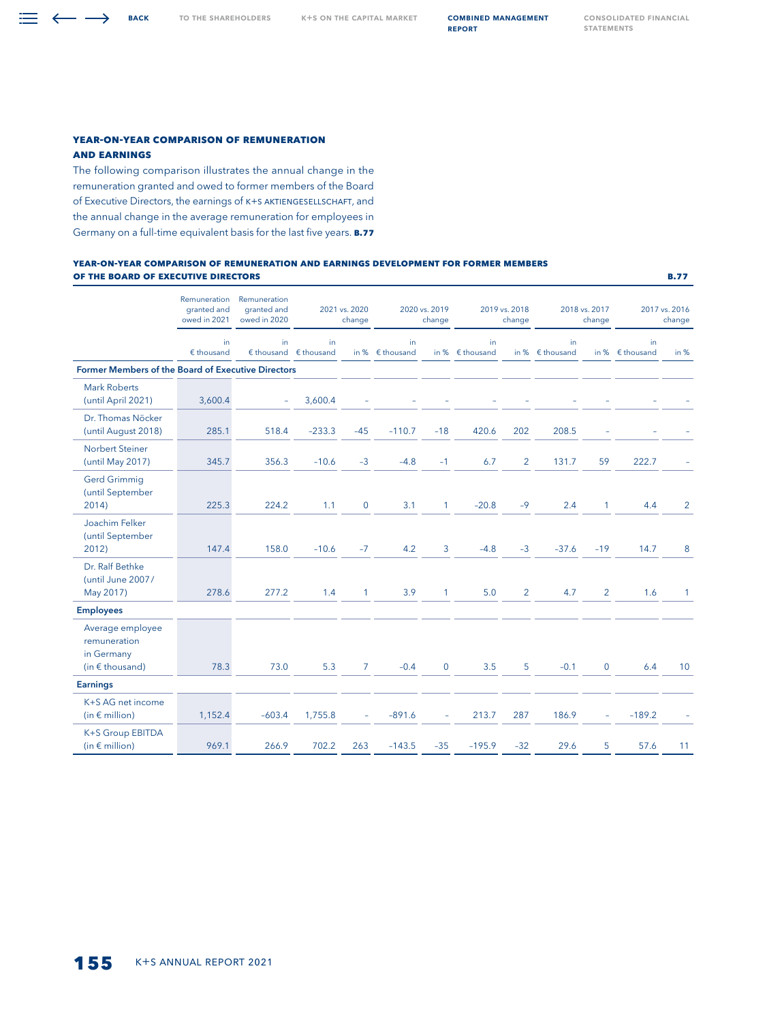$\equiv \leftarrow \rightarrow$  BACK

## **Year-on-Year Comparison of Remuneration and Earnings**

The following comparison illustrates the annual change in the remuneration granted and owed to former members of the Board of Executive Directors, the earnings of K+S Aktiengesellschaft, and the annual change in the average remuneration for employees in Germany on a full-time equivalent basis for the last five years. **B.77**

#### **Year-on-Year Comparison of Remuneration and Earnings development for Former Members of the Board of Executive Directors B.77**

|                                                                     | Remuneration<br>granted and<br>owed in 2021 | Remuneration<br>granted and<br>owed in 2020 | 2021 vs. 2020<br>2020 vs. 2019<br>2019 vs. 2018<br>2018 vs. 2017<br>change<br>change<br>change |                | change                         | 2017 vs. 2016<br>change |                                 |                |                                 |                |                                 |              |
|---------------------------------------------------------------------|---------------------------------------------|---------------------------------------------|------------------------------------------------------------------------------------------------|----------------|--------------------------------|-------------------------|---------------------------------|----------------|---------------------------------|----------------|---------------------------------|--------------|
|                                                                     | in<br>$E$ thousand                          | in.                                         | in.<br>$\notin$ thousand $\notin$ thousand                                                     |                | in<br>in % $\epsilon$ thousand |                         | in.<br>in % $\epsilon$ thousand |                | in.<br>in % $\epsilon$ thousand |                | in.<br>in % $\epsilon$ thousand | in $%$       |
| Former Members of the Board of Executive Directors                  |                                             |                                             |                                                                                                |                |                                |                         |                                 |                |                                 |                |                                 |              |
| <b>Mark Roberts</b><br>(until April 2021)                           | 3,600.4                                     | $\equiv$                                    | 3,600.4                                                                                        |                |                                |                         |                                 |                |                                 |                |                                 |              |
| Dr. Thomas Nöcker<br>(until August 2018)                            | 285.1                                       | 518.4                                       | $-233.3$                                                                                       | $-45$          | $-110.7$                       | $-18$                   | 420.6                           | 202            | 208.5                           |                |                                 |              |
| <b>Norbert Steiner</b><br>(until May 2017)                          | 345.7                                       | 356.3                                       | $-10.6$                                                                                        | $-3$           | $-4.8$                         | $-1$                    | 6.7                             | $\overline{2}$ | 131.7                           | 59             | 222.7                           |              |
| <b>Gerd Grimmig</b><br>(until September<br>2014)                    | 225.3                                       | 224.2                                       | 1.1                                                                                            | $\mathbf 0$    | 3.1                            | $\mathbf{1}$            | $-20.8$                         | $-9$           | 2.4                             | 1              | 4.4                             | 2            |
| Joachim Felker<br>(until September<br>2012)                         | 147.4                                       | 158.0                                       | $-10.6$                                                                                        | $-7$           | 4.2                            | 3                       | $-4.8$                          | $-3$           | $-37.6$                         | $-19$          | 14.7                            | 8            |
| Dr. Ralf Bethke<br>(until June 2007/<br>May 2017)                   | 278.6                                       | 277.2                                       | 1.4                                                                                            | $\mathbf{1}$   | 3.9                            | $\mathbf{1}$            | 5.0                             | $\overline{2}$ | 4.7                             | $\overline{2}$ | 1.6                             | $\mathbf{1}$ |
| <b>Employees</b>                                                    |                                             |                                             |                                                                                                |                |                                |                         |                                 |                |                                 |                |                                 |              |
| Average employee<br>remuneration<br>in Germany<br>(in $f$ thousand) | 78.3                                        | 73.0                                        | 5.3                                                                                            | $\overline{7}$ | $-0.4$                         | $\mathbf{0}$            | 3.5                             | 5              | $-0.1$                          | $\mathbf 0$    | 6.4                             | 10           |
|                                                                     |                                             |                                             |                                                                                                |                |                                |                         |                                 |                |                                 |                |                                 |              |
| <b>Earnings</b>                                                     |                                             |                                             |                                                                                                |                |                                |                         |                                 |                |                                 |                |                                 |              |
| K+S AG net income<br>(in $\notin$ million)                          | 1,152.4                                     | $-603.4$                                    | 1,755.8                                                                                        |                | $-891.6$                       | ÷                       | 213.7                           | 287            | 186.9                           | ÷.             | $-189.2$                        |              |
| K+S Group EBITDA<br>(in $\notin$ million)                           | 969.1                                       | 266.9                                       | 702.2                                                                                          | 263            | $-143.5$                       | $-35$                   | $-195.9$                        | $-32$          | 29.6                            | 5              | 57.6                            | 11           |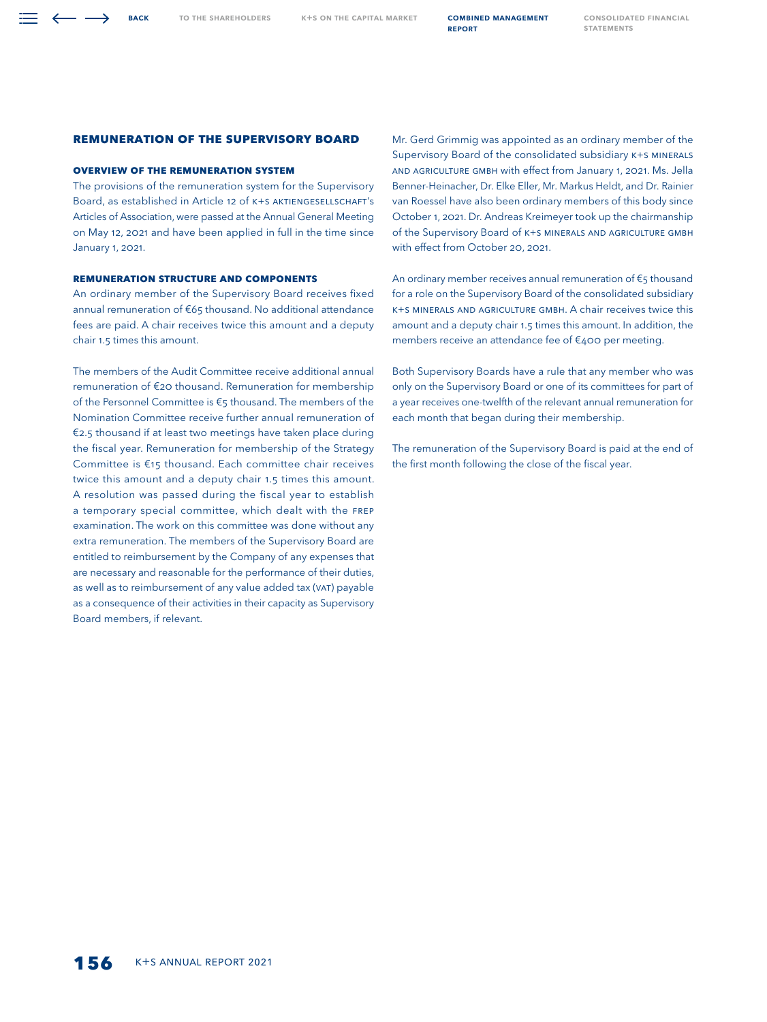# **REMUNERATION OF THE SUPERVISORY BOARD**

## **Overview of the Remuneration System**

**BACK** 

The provisions of the remuneration system for the Supervisory Board, as established in Article 12 of K+S AKTIENGESELLSCHAFT's Articles of Association, were passed at the Annual General Meeting on May 12, 2021 and have been applied in full in the time since January 1, 2021.

## **REMUNERATION STRUCTURE and Components**

An ordinary member of the Supervisory Board receives fixed annual remuneration of €65 thousand. No additional attendance fees are paid. A chair receives twice this amount and a deputy chair 1.5 times this amount.

The members of the Audit Committee receive additional annual remuneration of €20 thousand. Remuneration for membership of the Personnel Committee is €5 thousand. The members of the Nomination Committee receive further annual remuneration of €2.5 thousand if at least two meetings have taken place during the fiscal year. Remuneration for membership of the Strategy Committee is €15 thousand. Each committee chair receives twice this amount and a deputy chair 1.5 times this amount. A resolution was passed during the fiscal year to establish a temporary special committee, which dealt with the FREP examination. The work on this committee was done without any extra remuneration. The members of the Supervisory Board are entitled to reimbursement by the Company of any expenses that are necessary and reasonable for the performance of their duties, as well as to reimbursement of any value added tax (VAT) payable as a consequence of their activities in their capacity as Supervisory Board members, if relevant.

Mr. Gerd Grimmig was appointed as an ordinary member of the Supervisory Board of the consolidated subsidiary K+S Minerals and Agriculture GmbH with effect from January 1, 2021. Ms. Jella Benner-Heinacher, Dr. Elke Eller, Mr. Markus Heldt, and Dr. Rainier van Roessel have also been ordinary members of this body since October 1, 2021. Dr. Andreas Kreimeyer took up the chairmanship of the Supervisory Board of K+S MINERALS AND AGRICULTURE GMBH with effect from October 20, 2021.

An ordinary member receives annual remuneration of €5 thousand for a role on the Supervisory Board of the consolidated subsidiary K+S Minerals and Agriculture GmbH. A chair receives twice this amount and a deputy chair 1.5 times this amount. In addition, the members receive an attendance fee of €400 per meeting.

Both Supervisory Boards have a rule that any member who was only on the Supervisory Board or one of its committees for part of a year receives one-twelfth of the relevant annual remuneration for each month that began during their membership.

The remuneration of the Supervisory Board is paid at the end of the first month following the close of the fiscal year.

[Consolidated Financial](#page--1-0)  **STATEMENTS** 

report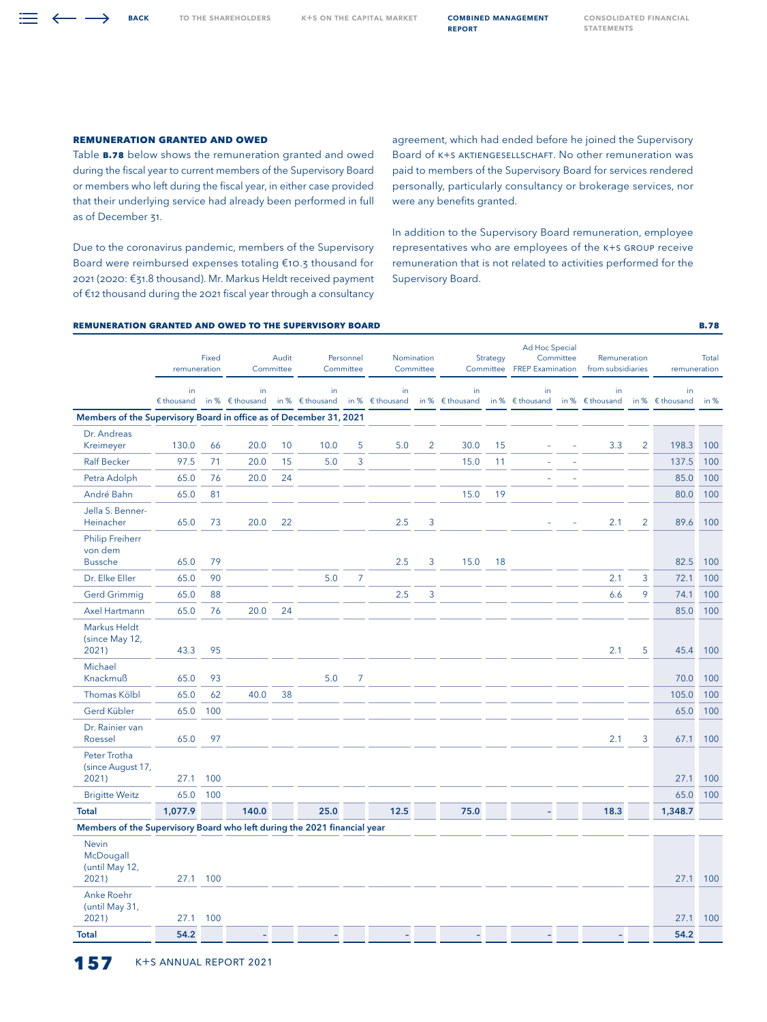TO THE SHAREHOLDERS K+S ON THE CAPITAL MARKET **COMBINED MANAGEMENT** 

report

## **Remuneration Granted and Owed**

Table **B.78** below shows the remuneration granted and owed during the fiscal year to current members of the Supervisory Board or members who left during the fiscal year, in either case provided that their underlying service had already been performed in full as of December 31.

Due to the coronavirus pandemic, members of the Supervisory Board were reimbursed expenses totaling €10.3 thousand for 2021 (2020: €31.8 thousand). Mr. Markus Heldt received payment of €12 thousand during the 2021 fiscal year through a consultancy

agreement, which had ended before he joined the Supervisory Board of K+S AKTIENGESELLSCHAFT. No other remuneration was paid to members of the Supervisory Board for services rendered personally, particularly consultancy or brokerage services, nor were any benefits granted.

In addition to the Supervisory Board remuneration, employee representatives who are employees of the K+S GROUP receive remuneration that is not related to activities performed for the Supervisory Board.

# **Remuneration Granted and Owed to the Supervisory Board B.78**

| in<br>in<br>in<br>in<br>in<br>in<br>in<br>in<br>$$$ thousand<br>in % $\epsilon$ thousand<br>in % $\epsilon$ thousand<br>in % $\epsilon$ thousand<br>in % $\epsilon$ thousand<br>in % $\epsilon$ thousand<br>in % $\epsilon$ thousand<br>in % $\epsilon$ thousand<br>Members of the Supervisory Board in office as of December 31, 2021<br>Dr. Andreas<br>130.0<br>66<br>20.0<br>10<br>10.0<br>5<br>5.0<br>$\overline{2}$<br>30.0<br>15<br>3.3<br>$\overline{2}$<br>198.3<br>Kreimeyer<br>97.5<br>20.0<br>5.0<br>3<br><b>Ralf Becker</b><br>71<br>15<br>15.0<br>137.5<br>11<br>Petra Adolph<br>65.0<br>76<br>20.0<br>24<br>85.0<br>81<br>André Bahn<br>65.0<br>15.0<br>19<br>80.0<br>Jella S. Benner-<br>$\overline{2}$<br>Heinacher<br>65.0<br>73<br>20.0<br>22<br>2.5<br>3<br>2.1<br>89.6<br><b>Philip Freiherr</b><br>von dem<br><b>Bussche</b><br>65.0<br>79<br>2.5<br>3<br>15.0<br>18<br>82.5<br>2.1<br>3<br>72.1<br>Dr. Elke Eller<br>65.0<br>90<br>5.0<br>7<br>2.5<br>3<br>9<br><b>Gerd Grimmig</b><br>65.0<br>88<br>6.6<br>74.1<br>76<br>20.0<br>24<br>Axel Hartmann<br>65.0<br>85.0<br><b>Markus Heldt</b><br>(since May 12,<br>43.3<br>95<br>2.1<br>5<br>45.4<br>2021)<br>Michael<br>5.0<br>Knackmuß<br>65.0<br>93<br>7<br>70.0<br>105.0<br><b>Thomas Kölbl</b><br>65.0<br>62<br>40.0<br>38<br>Gerd Kübler<br>65.0<br>100<br>65.0<br>Dr. Rainier van |        |  |  |  |  |  |  |  |  |  |
|---------------------------------------------------------------------------------------------------------------------------------------------------------------------------------------------------------------------------------------------------------------------------------------------------------------------------------------------------------------------------------------------------------------------------------------------------------------------------------------------------------------------------------------------------------------------------------------------------------------------------------------------------------------------------------------------------------------------------------------------------------------------------------------------------------------------------------------------------------------------------------------------------------------------------------------------------------------------------------------------------------------------------------------------------------------------------------------------------------------------------------------------------------------------------------------------------------------------------------------------------------------------------------------------------------------------------------------------------------------|--------|--|--|--|--|--|--|--|--|--|
|                                                                                                                                                                                                                                                                                                                                                                                                                                                                                                                                                                                                                                                                                                                                                                                                                                                                                                                                                                                                                                                                                                                                                                                                                                                                                                                                                               | in $%$ |  |  |  |  |  |  |  |  |  |
|                                                                                                                                                                                                                                                                                                                                                                                                                                                                                                                                                                                                                                                                                                                                                                                                                                                                                                                                                                                                                                                                                                                                                                                                                                                                                                                                                               |        |  |  |  |  |  |  |  |  |  |
|                                                                                                                                                                                                                                                                                                                                                                                                                                                                                                                                                                                                                                                                                                                                                                                                                                                                                                                                                                                                                                                                                                                                                                                                                                                                                                                                                               | 100    |  |  |  |  |  |  |  |  |  |
|                                                                                                                                                                                                                                                                                                                                                                                                                                                                                                                                                                                                                                                                                                                                                                                                                                                                                                                                                                                                                                                                                                                                                                                                                                                                                                                                                               | 100    |  |  |  |  |  |  |  |  |  |
|                                                                                                                                                                                                                                                                                                                                                                                                                                                                                                                                                                                                                                                                                                                                                                                                                                                                                                                                                                                                                                                                                                                                                                                                                                                                                                                                                               | 100    |  |  |  |  |  |  |  |  |  |
|                                                                                                                                                                                                                                                                                                                                                                                                                                                                                                                                                                                                                                                                                                                                                                                                                                                                                                                                                                                                                                                                                                                                                                                                                                                                                                                                                               | 100    |  |  |  |  |  |  |  |  |  |
|                                                                                                                                                                                                                                                                                                                                                                                                                                                                                                                                                                                                                                                                                                                                                                                                                                                                                                                                                                                                                                                                                                                                                                                                                                                                                                                                                               | 100    |  |  |  |  |  |  |  |  |  |
|                                                                                                                                                                                                                                                                                                                                                                                                                                                                                                                                                                                                                                                                                                                                                                                                                                                                                                                                                                                                                                                                                                                                                                                                                                                                                                                                                               | 100    |  |  |  |  |  |  |  |  |  |
|                                                                                                                                                                                                                                                                                                                                                                                                                                                                                                                                                                                                                                                                                                                                                                                                                                                                                                                                                                                                                                                                                                                                                                                                                                                                                                                                                               | 100    |  |  |  |  |  |  |  |  |  |
|                                                                                                                                                                                                                                                                                                                                                                                                                                                                                                                                                                                                                                                                                                                                                                                                                                                                                                                                                                                                                                                                                                                                                                                                                                                                                                                                                               | 100    |  |  |  |  |  |  |  |  |  |
|                                                                                                                                                                                                                                                                                                                                                                                                                                                                                                                                                                                                                                                                                                                                                                                                                                                                                                                                                                                                                                                                                                                                                                                                                                                                                                                                                               | 100    |  |  |  |  |  |  |  |  |  |
|                                                                                                                                                                                                                                                                                                                                                                                                                                                                                                                                                                                                                                                                                                                                                                                                                                                                                                                                                                                                                                                                                                                                                                                                                                                                                                                                                               | 100    |  |  |  |  |  |  |  |  |  |
|                                                                                                                                                                                                                                                                                                                                                                                                                                                                                                                                                                                                                                                                                                                                                                                                                                                                                                                                                                                                                                                                                                                                                                                                                                                                                                                                                               | 100    |  |  |  |  |  |  |  |  |  |
|                                                                                                                                                                                                                                                                                                                                                                                                                                                                                                                                                                                                                                                                                                                                                                                                                                                                                                                                                                                                                                                                                                                                                                                                                                                                                                                                                               | 100    |  |  |  |  |  |  |  |  |  |
|                                                                                                                                                                                                                                                                                                                                                                                                                                                                                                                                                                                                                                                                                                                                                                                                                                                                                                                                                                                                                                                                                                                                                                                                                                                                                                                                                               | 100    |  |  |  |  |  |  |  |  |  |
| Roessel<br>65.0<br>97<br>2.1<br>3<br>67.1                                                                                                                                                                                                                                                                                                                                                                                                                                                                                                                                                                                                                                                                                                                                                                                                                                                                                                                                                                                                                                                                                                                                                                                                                                                                                                                     | 100    |  |  |  |  |  |  |  |  |  |
| Peter Trotha<br>(since August 17,<br>100<br>2021)<br>27.1<br>27.1                                                                                                                                                                                                                                                                                                                                                                                                                                                                                                                                                                                                                                                                                                                                                                                                                                                                                                                                                                                                                                                                                                                                                                                                                                                                                             | 100    |  |  |  |  |  |  |  |  |  |
| 65.0<br>65.0<br><b>Brigitte Weitz</b><br>100                                                                                                                                                                                                                                                                                                                                                                                                                                                                                                                                                                                                                                                                                                                                                                                                                                                                                                                                                                                                                                                                                                                                                                                                                                                                                                                  | 100    |  |  |  |  |  |  |  |  |  |
| <b>Total</b><br>1,077.9<br>140.0<br>25.0<br>12.5<br>75.0<br>18.3<br>1,348.7                                                                                                                                                                                                                                                                                                                                                                                                                                                                                                                                                                                                                                                                                                                                                                                                                                                                                                                                                                                                                                                                                                                                                                                                                                                                                   |        |  |  |  |  |  |  |  |  |  |
| Members of the Supervisory Board who left during the 2021 financial year                                                                                                                                                                                                                                                                                                                                                                                                                                                                                                                                                                                                                                                                                                                                                                                                                                                                                                                                                                                                                                                                                                                                                                                                                                                                                      |        |  |  |  |  |  |  |  |  |  |
| <b>Nevin</b><br>McDougall<br>(until May 12,<br>2021)<br>27.1<br>100<br>27.1                                                                                                                                                                                                                                                                                                                                                                                                                                                                                                                                                                                                                                                                                                                                                                                                                                                                                                                                                                                                                                                                                                                                                                                                                                                                                   | 100    |  |  |  |  |  |  |  |  |  |
| Anke Roehr<br>(until May 31,<br>100<br>2021)<br>27.1<br>27.1                                                                                                                                                                                                                                                                                                                                                                                                                                                                                                                                                                                                                                                                                                                                                                                                                                                                                                                                                                                                                                                                                                                                                                                                                                                                                                  | 100    |  |  |  |  |  |  |  |  |  |
| 54.2<br>54.2<br><b>Total</b>                                                                                                                                                                                                                                                                                                                                                                                                                                                                                                                                                                                                                                                                                                                                                                                                                                                                                                                                                                                                                                                                                                                                                                                                                                                                                                                                  |        |  |  |  |  |  |  |  |  |  |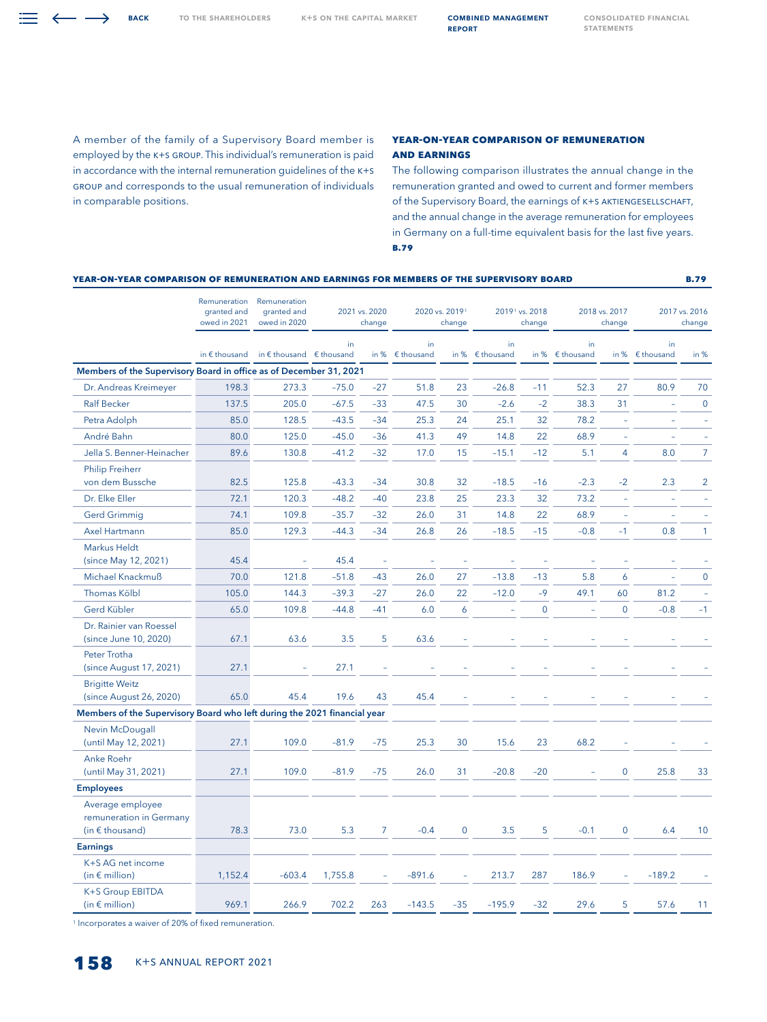$\equiv \leftarrow \rightarrow$  BACK

A member of the family of a Supervisory Board member is employed by the K+S GROUP. This individual's remuneration is paid in accordance with the internal remuneration guidelines of the K+S GROUP and corresponds to the usual remuneration of individuals in comparable positions.

## **Year-on-Year Comparison of Remuneration and Earnings**

The following comparison illustrates the annual change in the remuneration granted and owed to current and former members of the Supervisory Board, the earnings of K+S AKTIENGESELLSCHAFT, and the annual change in the average remuneration for employees in Germany on a full-time equivalent basis for the last five years. **B.79**

|                                                                          | YEAR-ON-YEAR COMPARISON OF REMUNERATION AND EARNINGS FOR MEMBERS OF THE SUPERVISORY BOARD |                                             |                         |                |                                |             |                                      | <b>B.79</b> |                         |                |                         |                |
|--------------------------------------------------------------------------|-------------------------------------------------------------------------------------------|---------------------------------------------|-------------------------|----------------|--------------------------------|-------------|--------------------------------------|-------------|-------------------------|----------------|-------------------------|----------------|
|                                                                          | Remuneration<br>granted and<br>owed in 2021                                               | Remuneration<br>granted and<br>owed in 2020 | 2021 vs. 2020<br>change |                | 2020 vs. 20191<br>change       |             | 2019 <sup>1</sup> vs. 2018<br>change |             | 2018 vs. 2017<br>change |                | 2017 vs. 2016<br>change |                |
|                                                                          | in $\epsilon$ thousand                                                                    | in $\epsilon$ thousand $\epsilon$ thousand  | in                      |                | in<br>in % $\epsilon$ thousand | in $%$      | in<br>€ thousand                     | in %        | in<br>$$$ thousand      | in %           | in<br>€ thousand        | in %           |
| Members of the Supervisory Board in office as of December 31, 2021       |                                                                                           |                                             |                         |                |                                |             |                                      |             |                         |                |                         |                |
| Dr. Andreas Kreimeyer                                                    | 198.3                                                                                     | 273.3                                       | $-75.0$                 | $-27$          | 51.8                           | 23          | $-26.8$                              | $-11$       | 52.3                    | 27             | 80.9                    | 70             |
| <b>Ralf Becker</b>                                                       | 137.5                                                                                     | 205.0                                       | $-67.5$                 | $-33$          | 47.5                           | 30          | $-2.6$                               | $-2$        | 38.3                    | 31             | ÷                       | $\mathbf 0$    |
| Petra Adolph                                                             | 85.0                                                                                      | 128.5                                       | $-43.5$                 | $-34$          | 25.3                           | 24          | 25.1                                 | 32          | 78.2                    | J.             | ÷,                      | ÷,             |
| André Bahn                                                               | 80.0                                                                                      | 125.0                                       | $-45.0$                 | $-36$          | 41.3                           | 49          | 14.8                                 | 22          | 68.9                    |                | L,                      | ÷,             |
| Jella S. Benner-Heinacher                                                | 89.6                                                                                      | 130.8                                       | $-41.2$                 | $-32$          | 17.0                           | 15          | $-15.1$                              | $-12$       | 5.1                     | $\overline{4}$ | 8.0                     | $\overline{7}$ |
| <b>Philip Freiherr</b><br>von dem Bussche                                | 82.5                                                                                      | 125.8                                       | $-43.3$                 | $-34$          | 30.8                           | 32          | $-18.5$                              | $-16$       | $-2.3$                  | $-2$           | 2.3                     | $\overline{2}$ |
| Dr. Elke Eller                                                           | 72.1                                                                                      | 120.3                                       | $-48.2$                 | $-40$          | 23.8                           | 25          | 23.3                                 | 32          | 73.2                    | ÷,             | L,                      | $\overline{a}$ |
| <b>Gerd Grimmig</b>                                                      | 74.1                                                                                      | 109.8                                       | $-35.7$                 | $-32$          | 26.0                           | 31          | 14.8                                 | 22          | 68.9                    | ÷,             | L.                      | $\equiv$       |
| Axel Hartmann                                                            | 85.0                                                                                      | 129.3                                       | $-44.3$                 | $-34$          | 26.8                           | 26          | $-18.5$                              | $-15$       | $-0.8$                  | $-1$           | 0.8                     | $\mathbf{1}$   |
| <b>Markus Heldt</b><br>(since May 12, 2021)                              | 45.4                                                                                      |                                             | 45.4                    |                |                                |             |                                      |             |                         |                |                         |                |
| Michael Knackmuß                                                         | 70.0                                                                                      | 121.8                                       | $-51.8$                 | $-43$          | 26.0                           | 27          | $-13.8$                              | $-13$       | 5.8                     | 6              | ÷,                      | $\mathbf 0$    |
| Thomas Kölbl                                                             | 105.0                                                                                     | 144.3                                       | $-39.3$                 | $-27$          | 26.0                           | 22          | $-12.0$                              | $-9$        | 49.1                    | 60             | 81.2                    | $\equiv$       |
| Gerd Kübler                                                              | 65.0                                                                                      | 109.8                                       | $-44.8$                 | $-41$          | 6.0                            | 6           |                                      | $\mathbf 0$ |                         | $\Omega$       | $-0.8$                  | $-1$           |
| Dr. Rainier van Roessel<br>(since June 10, 2020)                         | 67.1                                                                                      | 63.6                                        | 3.5                     | 5              | 63.6                           |             |                                      |             |                         |                |                         |                |
| Peter Trotha<br>(since August 17, 2021)                                  | 27.1                                                                                      |                                             | 27.1                    |                |                                |             |                                      |             |                         |                |                         |                |
| <b>Brigitte Weitz</b><br>(since August 26, 2020)                         | 65.0                                                                                      | 45.4                                        | 19.6                    | 43             | 45.4                           |             |                                      |             |                         |                |                         |                |
| Members of the Supervisory Board who left during the 2021 financial year |                                                                                           |                                             |                         |                |                                |             |                                      |             |                         |                |                         |                |
| Nevin McDougall<br>(until May 12, 2021)                                  | 27.1                                                                                      | 109.0                                       | $-81.9$                 | $-75$          | 25.3                           | 30          | 15.6                                 | 23          | 68.2                    |                |                         |                |
| Anke Roehr<br>(until May 31, 2021)                                       | 27.1                                                                                      | 109.0                                       | $-81.9$                 | $-75$          | 26.0                           | 31          | $-20.8$                              | $-20$       |                         | $\mathbf 0$    | 25.8                    | 33             |
| <b>Employees</b>                                                         |                                                                                           |                                             |                         |                |                                |             |                                      |             |                         |                |                         |                |
| Average employee<br>remuneration in Germany<br>(in $\epsilon$ thousand)  | 78.3                                                                                      | 73.0                                        | 5.3                     | $\overline{7}$ | $-0.4$                         | $\mathbf 0$ | 3.5                                  | 5           | $-0.1$                  | $\mathbf 0$    | 6.4                     | 10             |
| <b>Earnings</b>                                                          |                                                                                           |                                             |                         |                |                                |             |                                      |             |                         |                |                         |                |
| K+S AG net income<br>(in $\epsilon$ million)                             | 1,152.4                                                                                   | $-603.4$                                    | 1,755.8                 | ÷,             | $-891.6$                       | $\equiv$    | 213.7                                | 287         | 186.9                   | ÷,             | $-189.2$                |                |
| K+S Group EBITDA<br>(in $\notin$ million)                                | 969.1                                                                                     | 266.9                                       | 702.2                   | 263            | $-143.5$                       | $-35$       | $-195.9$                             | $-32$       | 29.6                    | 5              | 57.6                    | 11             |

<sup>1</sup> Incorporates a waiver of 20% of fixed remuneration.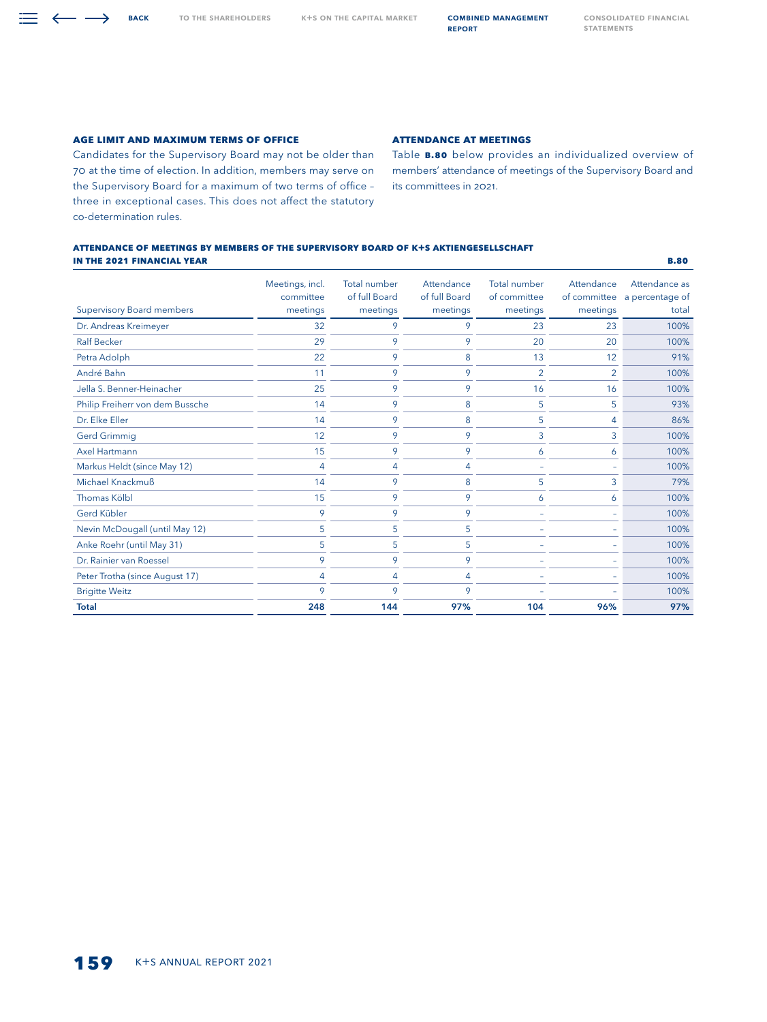**Age Limit and Maximum Terms of Office**

 $\equiv \leftarrow \rightarrow$  BACK

Candidates for the Supervisory Board may not be older than 70 at the time of election. In addition, members may serve on the Supervisory Board for a maximum of two terms of office – three in exceptional cases. This does not affect the statutory co-determination rules.

## **Attendance at Meetings**

Table **B.80** below provides an individualized overview of members' attendance of meetings of the Supervisory Board and its committees in 2021.

## **Attendance of Meetings by Members of the Supervisory Board of K+S Aktiengesellschaft in the 2021 FiNANCIAL Year B.80**

| <b>Supervisory Board members</b> | Meetings, incl.<br>committee<br>meetings | Total number<br>of full Board<br>meetings | Attendance<br>of full Board<br>meetings | <b>Total number</b><br>of committee<br>meetings | Attendance<br>of committee<br>meetings | Attendance as<br>a percentage of<br>total |
|----------------------------------|------------------------------------------|-------------------------------------------|-----------------------------------------|-------------------------------------------------|----------------------------------------|-------------------------------------------|
| Dr. Andreas Kreimeyer            | 32                                       | 9                                         | 9                                       | 23                                              | 23                                     | 100%                                      |
| <b>Ralf Becker</b>               | 29                                       | 9                                         | 9                                       | 20                                              | 20                                     | 100%                                      |
| Petra Adolph                     | 22                                       | 9                                         | 8                                       | 13                                              | 12                                     | 91%                                       |
| André Bahn                       | 11                                       | 9                                         | 9                                       | $\overline{2}$                                  | $\overline{2}$                         | 100%                                      |
| Jella S. Benner-Heinacher        | 25                                       | 9                                         | 9                                       | 16                                              | 16                                     | 100%                                      |
| Philip Freiherr von dem Bussche  | 14                                       | 9                                         | 8                                       | 5                                               | 5                                      | 93%                                       |
| Dr. Elke Eller                   | 14                                       | 9                                         | 8                                       | 5                                               | 4                                      | 86%                                       |
| <b>Gerd Grimmig</b>              | 12                                       | 9                                         | 9                                       | 3                                               | 3                                      | 100%                                      |
| Axel Hartmann                    | 15                                       | 9                                         | 9                                       | 6                                               | 6                                      | 100%                                      |
| Markus Heldt (since May 12)      | 4                                        | $\overline{A}$                            | 4                                       |                                                 |                                        | 100%                                      |
| Michael Knackmuß                 | 14                                       | 9                                         | 8                                       | 5                                               | 3                                      | 79%                                       |
| <b>Thomas Kölbl</b>              | 15                                       | 9                                         | 9                                       | 6                                               | 6                                      | 100%                                      |
| Gerd Kübler                      | 9                                        | 9                                         | 9                                       |                                                 |                                        | 100%                                      |
| Nevin McDougall (until May 12)   | 5                                        | 5                                         | 5                                       | ÷                                               |                                        | 100%                                      |
| Anke Roehr (until May 31)        | 5                                        | 5                                         | 5                                       |                                                 |                                        | 100%                                      |
| Dr. Rainier van Roessel          | 9                                        | 9                                         | 9                                       |                                                 |                                        | 100%                                      |
| Peter Trotha (since August 17)   | 4                                        | 4                                         | $\overline{A}$                          |                                                 |                                        | 100%                                      |
| <b>Brigitte Weitz</b>            | 9                                        | 9                                         | 9                                       |                                                 |                                        | 100%                                      |
| <b>Total</b>                     | 248                                      | 144                                       | 97%                                     | 104                                             | 96%                                    | 97%                                       |

report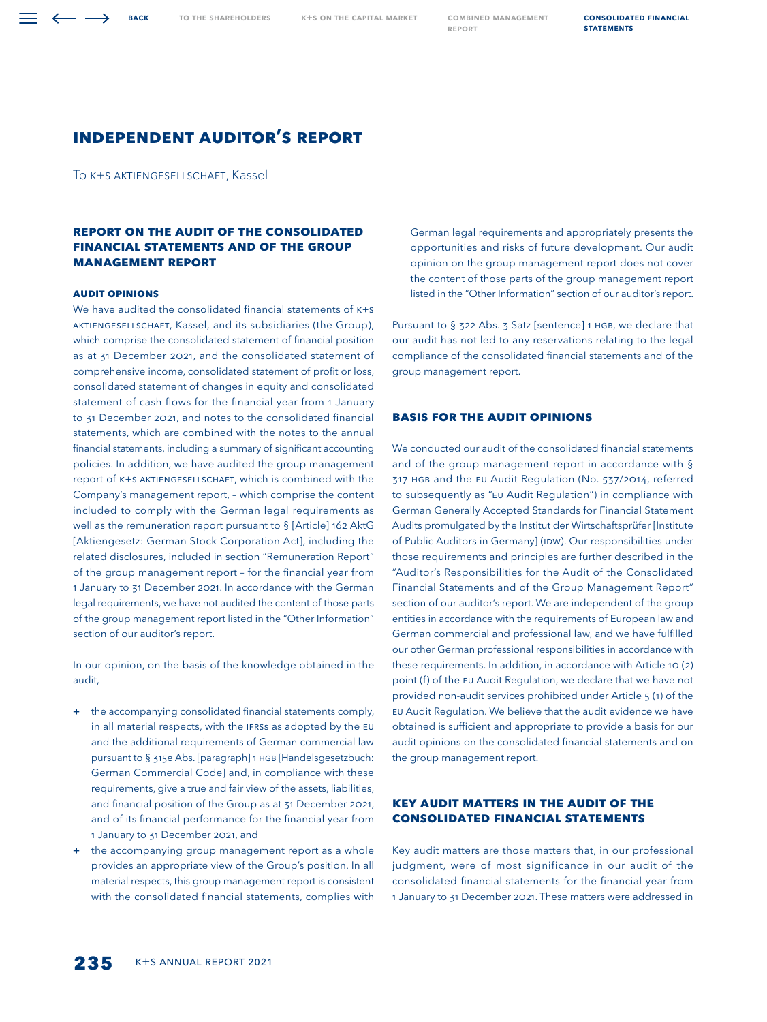**BACK** 

# **INDEPENDENT AUDITOR'S REPORT**

To K+S Aktiengesellschaft, Kassel

# **REPORT ON THE AUDIT OF THE CONSOLIDATED FINANCIAL STATEMENTS AND OF THE GROUP MANAGEMENT REPORT**

#### **Audit Opinions**

We have audited the consolidated financial statements of K+S Aktiengesellschaft, Kassel, and its subsidiaries (the Group), which comprise the consolidated statement of financial position as at 31 December 2021, and the consolidated statement of comprehensive income, consolidated statement of profit or loss, consolidated statement of changes in equity and consolidated statement of cash flows for the financial year from 1 January to 31 December 2021, and notes to the consolidated financial statements, which are combined with the notes to the annual financial statements, including a summary of significant accounting policies. In addition, we have audited the group management report of K+S Aktiengesellschaft, which is combined with the Company's management report, – which comprise the content included to comply with the German legal requirements as well as the remuneration report pursuant to § [Article] 162 AktG [Aktiengesetz: German Stock Corporation Act], including the related disclosures, included in section "Remuneration Report" of the group management report – for the financial year from 1 January to 31 December 2021. In accordance with the German legal requirements, we have not audited the content of those parts of the group management report listed in the "Other Information" section of our auditor's report.

In our opinion, on the basis of the knowledge obtained in the audit,

- **+** the accompanying consolidated financial statements comply, in all material respects, with the IFRSs as adopted by the EU and the additional requirements of German commercial law pursuant to § 315e Abs. [paragraph] 1 HGB [Handelsgesetzbuch: German Commercial Code] and, in compliance with these requirements, give a true and fair view of the assets, liabilities, and financial position of the Group as at 31 December 2021, and of its financial performance for the financial year from 1 January to 31 December 2021, and
- **+** the accompanying group management report as a whole provides an appropriate view of the Group's position. In all material respects, this group management report is consistent with the consolidated financial statements, complies with

German legal requirements and appropriately presents the opportunities and risks of future development. Our audit opinion on the group management report does not cover the content of those parts of the group management report listed in the "Other Information" section of our auditor's report.

Pursuant to § 322 Abs. 3 Satz [sentence] 1 HGB, we declare that our audit has not led to any reservations relating to the legal compliance of the consolidated financial statements and of the group management report.

# **Basis for the Audit Opinions**

We conducted our audit of the consolidated financial statements and of the group management report in accordance with § 317 HGB and the EU Audit Regulation (No. 537/2014, referred to subsequently as "EU Audit Regulation") in compliance with German Generally Accepted Standards for Financial Statement Audits promulgated by the Institut der Wirtschaftsprüfer [Institute of Public Auditors in Germany] (IDW). Our responsibilities under those requirements and principles are further described in the "Auditor's Responsibilities for the Audit of the Consolidated Financial Statements and of the Group Management Report" section of our auditor's report. We are independent of the group entities in accordance with the requirements of European law and German commercial and professional law, and we have fulfilled our other German professional responsibilities in accordance with these requirements. In addition, in accordance with Article 10 (2) point (f) of the EU Audit Regulation, we declare that we have not provided non-audit services prohibited under Article 5 (1) of the EU Audit Regulation. We believe that the audit evidence we have obtained is sufficient and appropriate to provide a basis for our audit opinions on the consolidated financial statements and on the group management report.

# **Key Audit Matters in the Audit of the Consolidated Financial Statements**

Key audit matters are those matters that, in our professional judgment, were of most significance in our audit of the consolidated financial statements for the financial year from 1 January to 31 December 2021. These matters were addressed in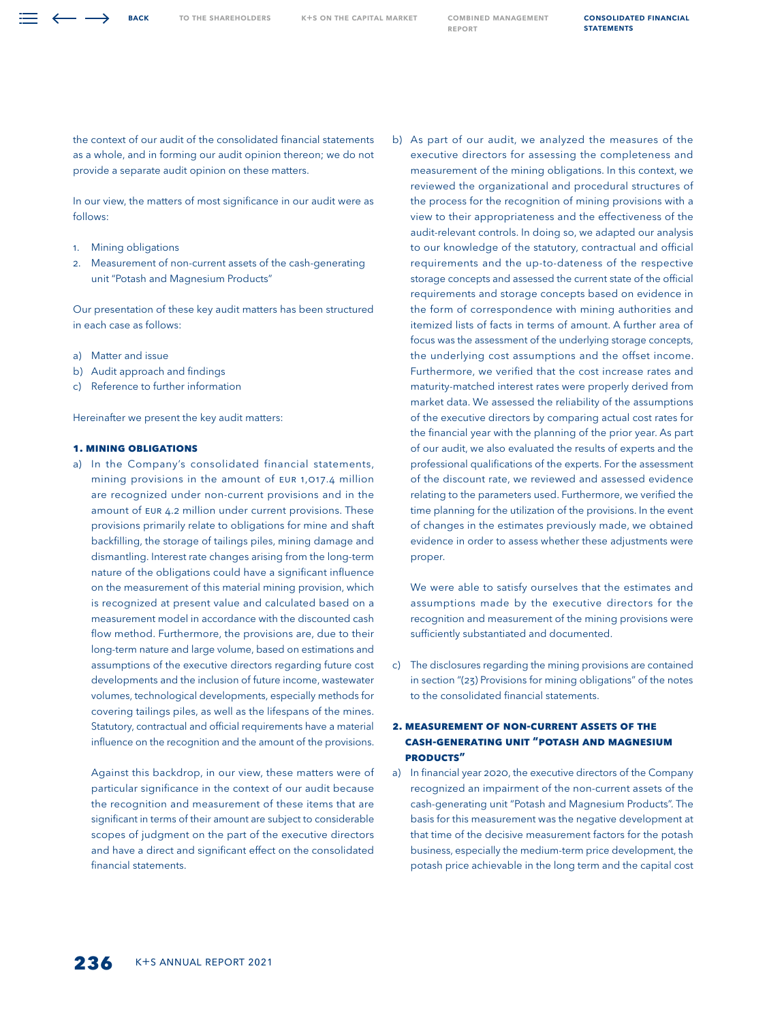**BACK** 

the context of our audit of the consolidated financial statements as a whole, and in forming our audit opinion thereon; we do not provide a separate audit opinion on these matters.

In our view, the matters of most significance in our audit were as follows:

- 1. Mining obligations
- 2. Measurement of non-current assets of the cash-generating unit "Potash and Magnesium Products"

Our presentation of these key audit matters has been structured in each case as follows:

- a) Matter and issue
- b) Audit approach and findings
- c) Reference to further information

Hereinafter we present the key audit matters:

## **1. Mining obligations**

a) In the Company's consolidated financial statements, mining provisions in the amount of EUR 1,017.4 million are recognized under non-current provisions and in the amount of EUR 4.2 million under current provisions. These provisions primarily relate to obligations for mine and shaft backfilling, the storage of tailings piles, mining damage and dismantling. Interest rate changes arising from the long-term nature of the obligations could have a significant influence on the measurement of this material mining provision, which is recognized at present value and calculated based on a measurement model in accordance with the discounted cash flow method. Furthermore, the provisions are, due to their long-term nature and large volume, based on estimations and assumptions of the executive directors regarding future cost developments and the inclusion of future income, wastewater volumes, technological developments, especially methods for covering tailings piles, as well as the lifespans of the mines. Statutory, contractual and official requirements have a material influence on the recognition and the amount of the provisions.

 Against this backdrop, in our view, these matters were of particular significance in the context of our audit because the recognition and measurement of these items that are significant in terms of their amount are subject to considerable scopes of judgment on the part of the executive directors and have a direct and significant effect on the consolidated financial statements.

b) As part of our audit, we analyzed the measures of the executive directors for assessing the completeness and measurement of the mining obligations. In this context, we reviewed the organizational and procedural structures of the process for the recognition of mining provisions with a view to their appropriateness and the effectiveness of the audit-relevant controls. In doing so, we adapted our analysis to our knowledge of the statutory, contractual and official requirements and the up-to-dateness of the respective storage concepts and assessed the current state of the official requirements and storage concepts based on evidence in the form of correspondence with mining authorities and itemized lists of facts in terms of amount. A further area of focus was the assessment of the underlying storage concepts, the underlying cost assumptions and the offset income. Furthermore, we verified that the cost increase rates and maturity-matched interest rates were properly derived from market data. We assessed the reliability of the assumptions of the executive directors by comparing actual cost rates for the financial year with the planning of the prior year. As part of our audit, we also evaluated the results of experts and the professional qualifications of the experts. For the assessment of the discount rate, we reviewed and assessed evidence relating to the parameters used. Furthermore, we verified the time planning for the utilization of the provisions. In the event of changes in the estimates previously made, we obtained evidence in order to assess whether these adjustments were proper.

 We were able to satisfy ourselves that the estimates and assumptions made by the executive directors for the recognition and measurement of the mining provisions were sufficiently substantiated and documented.

c) The disclosures regarding the mining provisions are contained in section "(23) Provisions for mining obligations" of the notes to the consolidated financial statements.

# **2. Measurement of non-current assets of the cash-generating unit "Potash and Magnesium Products"**

a) In financial year 2020, the executive directors of the Company recognized an impairment of the non-current assets of the cash-generating unit "Potash and Magnesium Products". The basis for this measurement was the negative development at that time of the decisive measurement factors for the potash business, especially the medium-term price development, the potash price achievable in the long term and the capital cost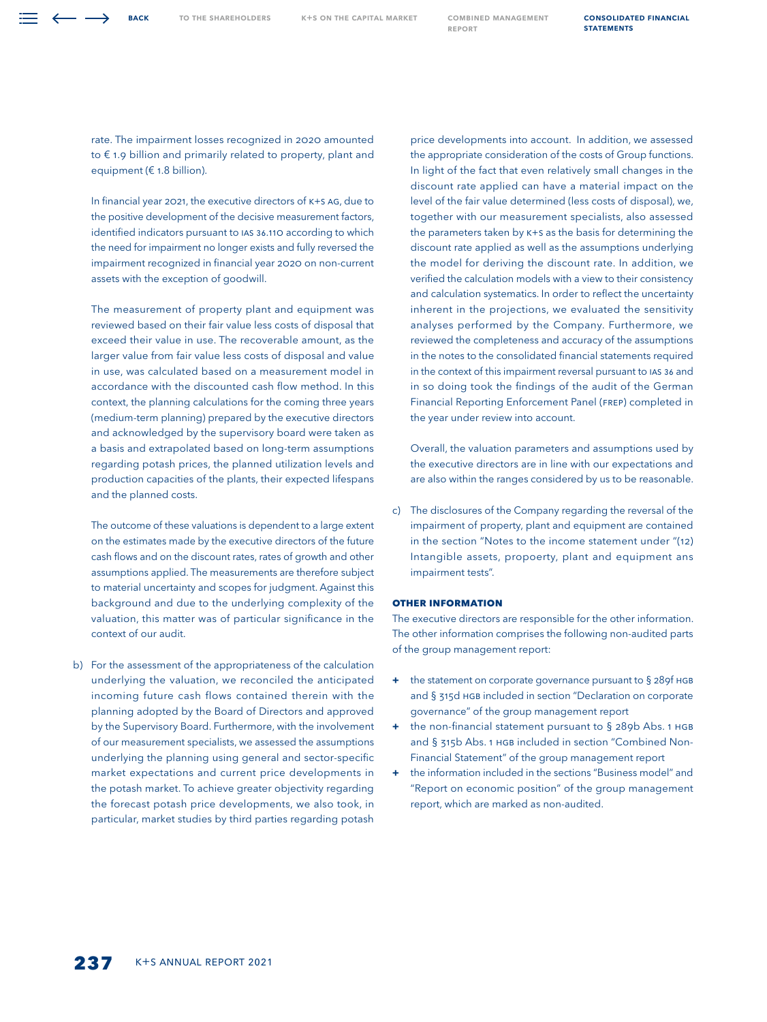rate. The impairment losses recognized in 2020 amounted to € 1.9 billion and primarily related to property, plant and equipment (€ 1.8 billion).

 In financial year 2021, the executive directors of K+S AG, due to the positive development of the decisive measurement factors, identified indicators pursuant to IAS 36.110 according to which the need for impairment no longer exists and fully reversed the impairment recognized in financial year 2020 on non-current assets with the exception of goodwill.

 The measurement of property plant and equipment was reviewed based on their fair value less costs of disposal that exceed their value in use. The recoverable amount, as the larger value from fair value less costs of disposal and value in use, was calculated based on a measurement model in accordance with the discounted cash flow method. In this context, the planning calculations for the coming three years (medium-term planning) prepared by the executive directors and acknowledged by the supervisory board were taken as a basis and extrapolated based on long-term assumptions regarding potash prices, the planned utilization levels and production capacities of the plants, their expected lifespans and the planned costs.

 The outcome of these valuations is dependent to a large extent on the estimates made by the executive directors of the future cash flows and on the discount rates, rates of growth and other assumptions applied. The measurements are therefore subject to material uncertainty and scopes for judgment. Against this background and due to the underlying complexity of the valuation, this matter was of particular significance in the context of our audit.

b) For the assessment of the appropriateness of the calculation underlying the valuation, we reconciled the anticipated incoming future cash flows contained therein with the planning adopted by the Board of Directors and approved by the Supervisory Board. Furthermore, with the involvement of our measurement specialists, we assessed the assumptions underlying the planning using general and sector-specific market expectations and current price developments in the potash market. To achieve greater objectivity regarding the forecast potash price developments, we also took, in particular, market studies by third parties regarding potash

price developments into account. In addition, we assessed the appropriate consideration of the costs of Group functions. In light of the fact that even relatively small changes in the discount rate applied can have a material impact on the level of the fair value determined (less costs of disposal), we, together with our measurement specialists, also assessed the parameters taken by K+S as the basis for determining the discount rate applied as well as the assumptions underlying the model for deriving the discount rate. In addition, we verified the calculation models with a view to their consistency and calculation systematics. In order to reflect the uncertainty inherent in the projections, we evaluated the sensitivity analyses performed by the Company. Furthermore, we reviewed the completeness and accuracy of the assumptions in the notes to the consolidated financial statements required in the context of this impairment reversal pursuant to IAS 36 and in so doing took the findings of the audit of the German Financial Reporting Enforcement Panel (FREP) completed in the year under review into account.

 Overall, the valuation parameters and assumptions used by the executive directors are in line with our expectations and are also within the ranges considered by us to be reasonable.

c) The disclosures of the Company regarding the reversal of the impairment of property, plant and equipment are contained in the section "Notes to the income statement under "(12) Intangible assets, propoerty, plant and equipment ans impairment tests".

## **Other Information**

The executive directors are responsible for the other information. The other information comprises the following non-audited parts of the group management report:

- **+** the statement on corporate governance pursuant to § 289f HGB and § 315d HGB included in section "Declaration on corporate governance" of the group management report
- **+** the non-financial statement pursuant to § 289b Abs. 1 HGB and § 315b Abs. 1 HGB included in section "Combined Non-Financial Statement" of the group management report
- **+** the information included in the sections "Business model" and "Report on economic position" of the group management report, which are marked as non-audited.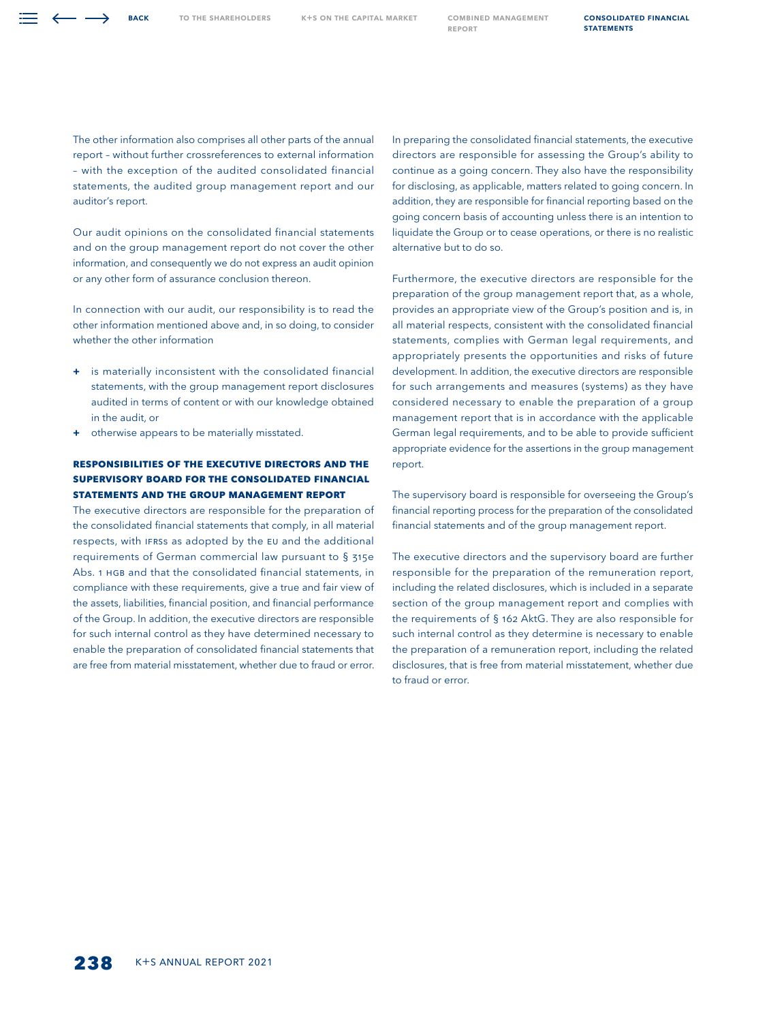The other information also comprises all other parts of the annual report – without further crossreferences to external information – with the exception of the audited consolidated financial statements, the audited group management report and our auditor's report.

Our audit opinions on the consolidated financial statements and on the group management report do not cover the other information, and consequently we do not express an audit opinion or any other form of assurance conclusion thereon.

In connection with our audit, our responsibility is to read the other information mentioned above and, in so doing, to consider whether the other information

- **+** is materially inconsistent with the consolidated financial statements, with the group management report disclosures audited in terms of content or with our knowledge obtained in the audit, or
- **+** otherwise appears to be materially misstated.

# **Responsibilities of the Executive Directors and the Supervisory Board for the Consolidated Financial Statements and the Group Management Report**

The executive directors are responsible for the preparation of the consolidated financial statements that comply, in all material respects, with IFRSs as adopted by the EU and the additional requirements of German commercial law pursuant to § 315e Abs. 1 HGB and that the consolidated financial statements, in compliance with these requirements, give a true and fair view of the assets, liabilities, financial position, and financial performance of the Group. In addition, the executive directors are responsible for such internal control as they have determined necessary to enable the preparation of consolidated financial statements that are free from material misstatement, whether due to fraud or error.

In preparing the consolidated financial statements, the executive directors are responsible for assessing the Group's ability to continue as a going concern. They also have the responsibility for disclosing, as applicable, matters related to going concern. In addition, they are responsible for financial reporting based on the going concern basis of accounting unless there is an intention to liquidate the Group or to cease operations, or there is no realistic alternative but to do so.

Furthermore, the executive directors are responsible for the preparation of the group management report that, as a whole, provides an appropriate view of the Group's position and is, in all material respects, consistent with the consolidated financial statements, complies with German legal requirements, and appropriately presents the opportunities and risks of future development. In addition, the executive directors are responsible for such arrangements and measures (systems) as they have considered necessary to enable the preparation of a group management report that is in accordance with the applicable German legal requirements, and to be able to provide sufficient appropriate evidence for the assertions in the group management report.

The supervisory board is responsible for overseeing the Group's financial reporting process for the preparation of the consolidated financial statements and of the group management report.

The executive directors and the supervisory board are further responsible for the preparation of the remuneration report, including the related disclosures, which is included in a separate section of the group management report and complies with the requirements of § 162 AktG. They are also responsible for such internal control as they determine is necessary to enable the preparation of a remuneration report, including the related disclosures, that is free from material misstatement, whether due to fraud or error.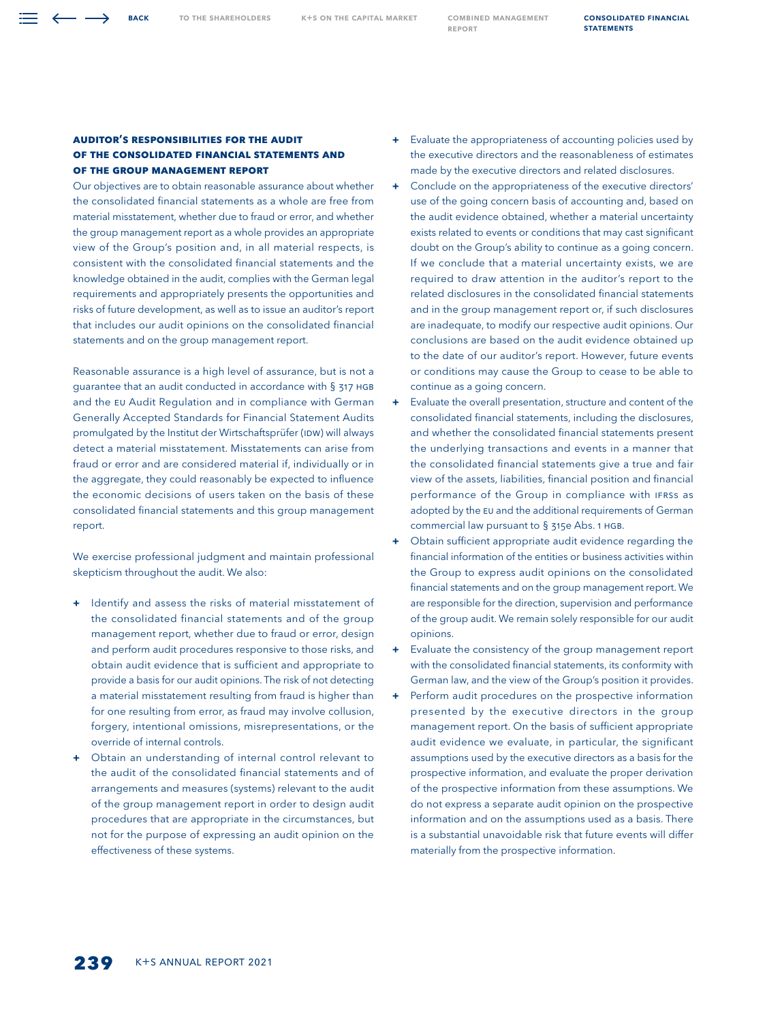## **Auditor's Responsibilities for the Audit of the Consolidated Financial Statements and of the Group Management Report**

Our objectives are to obtain reasonable assurance about whether the consolidated financial statements as a whole are free from material misstatement, whether due to fraud or error, and whether the group management report as a whole provides an appropriate view of the Group's position and, in all material respects, is consistent with the consolidated financial statements and the knowledge obtained in the audit, complies with the German legal requirements and appropriately presents the opportunities and risks of future development, as well as to issue an auditor's report that includes our audit opinions on the consolidated financial statements and on the group management report.

Reasonable assurance is a high level of assurance, but is not a guarantee that an audit conducted in accordance with § 317 HGB and the EU Audit Regulation and in compliance with German Generally Accepted Standards for Financial Statement Audits promulgated by the Institut der Wirtschaftsprüfer (IDW) will always detect a material misstatement. Misstatements can arise from fraud or error and are considered material if, individually or in the aggregate, they could reasonably be expected to influence the economic decisions of users taken on the basis of these consolidated financial statements and this group management report.

We exercise professional judgment and maintain professional skepticism throughout the audit. We also:

- **+** Identify and assess the risks of material misstatement of the consolidated financial statements and of the group management report, whether due to fraud or error, design and perform audit procedures responsive to those risks, and obtain audit evidence that is sufficient and appropriate to provide a basis for our audit opinions. The risk of not detecting a material misstatement resulting from fraud is higher than for one resulting from error, as fraud may involve collusion, forgery, intentional omissions, misrepresentations, or the override of internal controls.
- **+** Obtain an understanding of internal control relevant to the audit of the consolidated financial statements and of arrangements and measures (systems) relevant to the audit of the group management report in order to design audit procedures that are appropriate in the circumstances, but not for the purpose of expressing an audit opinion on the effectiveness of these systems.
- **+** Evaluate the appropriateness of accounting policies used by the executive directors and the reasonableness of estimates made by the executive directors and related disclosures.
- **+** Conclude on the appropriateness of the executive directors' use of the going concern basis of accounting and, based on the audit evidence obtained, whether a material uncertainty exists related to events or conditions that may cast significant doubt on the Group's ability to continue as a going concern. If we conclude that a material uncertainty exists, we are required to draw attention in the auditor's report to the related disclosures in the consolidated financial statements and in the group management report or, if such disclosures are inadequate, to modify our respective audit opinions. Our conclusions are based on the audit evidence obtained up to the date of our auditor's report. However, future events or conditions may cause the Group to cease to be able to continue as a going concern.
- **+** Evaluate the overall presentation, structure and content of the consolidated financial statements, including the disclosures, and whether the consolidated financial statements present the underlying transactions and events in a manner that the consolidated financial statements give a true and fair view of the assets, liabilities, financial position and financial performance of the Group in compliance with IFRSs as adopted by the EU and the additional requirements of German commercial law pursuant to § 315e Abs. 1 HGB.
- **+** Obtain sufficient appropriate audit evidence regarding the financial information of the entities or business activities within the Group to express audit opinions on the consolidated financial statements and on the group management report. We are responsible for the direction, supervision and performance of the group audit. We remain solely responsible for our audit opinions.
- **+** Evaluate the consistency of the group management report with the consolidated financial statements, its conformity with German law, and the view of the Group's position it provides.
- **+** Perform audit procedures on the prospective information presented by the executive directors in the group management report. On the basis of sufficient appropriate audit evidence we evaluate, in particular, the significant assumptions used by the executive directors as a basis for the prospective information, and evaluate the proper derivation of the prospective information from these assumptions. We do not express a separate audit opinion on the prospective information and on the assumptions used as a basis. There is a substantial unavoidable risk that future events will differ materially from the prospective information.

[Consolidated Financial](#page--1-0) 

**STATEMENTS** 

Back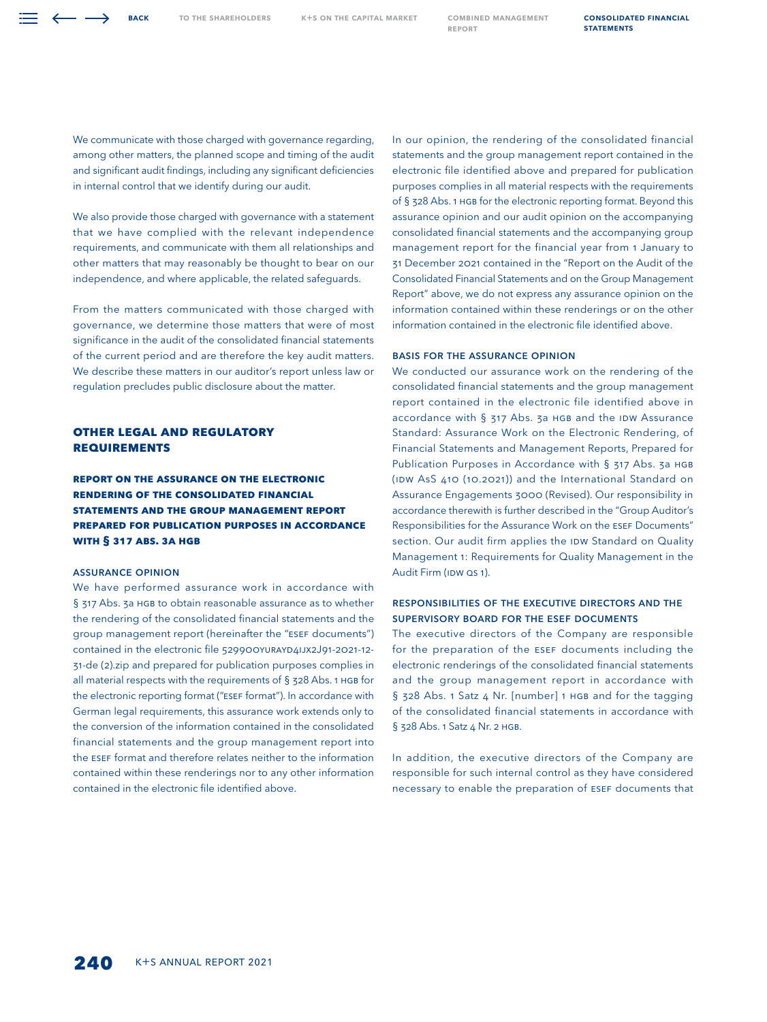We communicate with those charged with governance regarding, among other matters, the planned scope and timing of the audit and significant audit findings, including any significant deficiencies in internal control that we identify during our audit.

We also provide those charged with governance with a statement that we have complied with the relevant independence requirements, and communicate with them all relationships and other matters that may reasonably be thought to bear on our independence, and where applicable, the related safeguards.

From the matters communicated with those charged with governance, we determine those matters that were of most significance in the audit of the consolidated financial statements of the current period and are therefore the key audit matters. We describe these matters in our auditor's report unless law or regulation precludes public disclosure about the matter.

# **OTHER LEGAL AND REGULATORY REQUIREMENTS**

**Report on the Assurance on the Electronic Rendering of the Consolidated Financial Statements and the Group Management Report Prepared for Publication Purposes in Accordance with § 317 Abs. 3a HGB**

## Assurance Opinion

We have performed assurance work in accordance with § 317 Abs. 3a HGB to obtain reasonable assurance as to whether the rendering of the consolidated financial statements and the group management report (hereinafter the "ESEF documents") contained in the electronic file 529900YURAYD4IJX2J91-2021-12- 31-de (2).zip and prepared for publication purposes complies in all material respects with the requirements of § 328 Abs. 1 HGB for the electronic reporting format ("ESEF format"). In accordance with German legal requirements, this assurance work extends only to the conversion of the information contained in the consolidated financial statements and the group management report into the ESEF format and therefore relates neither to the information contained within these renderings nor to any other information contained in the electronic file identified above.

In our opinion, the rendering of the consolidated financial statements and the group management report contained in the electronic file identified above and prepared for publication purposes complies in all material respects with the requirements of § 328 Abs. 1 HGB for the electronic reporting format. Beyond this assurance opinion and our audit opinion on the accompanying consolidated financial statements and the accompanying group management report for the financial year from 1 January to 31 December 2021 contained in the "Report on the Audit of the Consolidated Financial Statements and on the Group Management Report" above, we do not express any assurance opinion on the information contained within these renderings or on the other information contained in the electronic file identified above.

## Basis for the Assurance Opinion

We conducted our assurance work on the rendering of the consolidated financial statements and the group management report contained in the electronic file identified above in accordance with § 317 Abs. 3a HGB and the IDW Assurance Standard: Assurance Work on the Electronic Rendering, of Financial Statements and Management Reports, Prepared for Publication Purposes in Accordance with § 317 Abs. 3a HGB (IDW AsS 410 (10.2021)) and the International Standard on Assurance Engagements 3000 (Revised). Our responsibility in accordance therewith is further described in the "Group Auditor's Responsibilities for the Assurance Work on the ESEF Documents" section. Our audit firm applies the IDW Standard on Quality Management 1: Requirements for Quality Management in the Audit Firm (IDW QS 1).

# Responsibilities of the Executive Directors and the Supervisory Board for the ESEF Documents

The executive directors of the Company are responsible for the preparation of the ESEF documents including the electronic renderings of the consolidated financial statements and the group management report in accordance with § 328 Abs. 1 Satz 4 Nr. [number] 1 HGB and for the tagging of the consolidated financial statements in accordance with § 328 Abs. 1 Satz 4 Nr. 2 HGB.

In addition, the executive directors of the Company are responsible for such internal control as they have considered necessary to enable the preparation of ESEF documents that